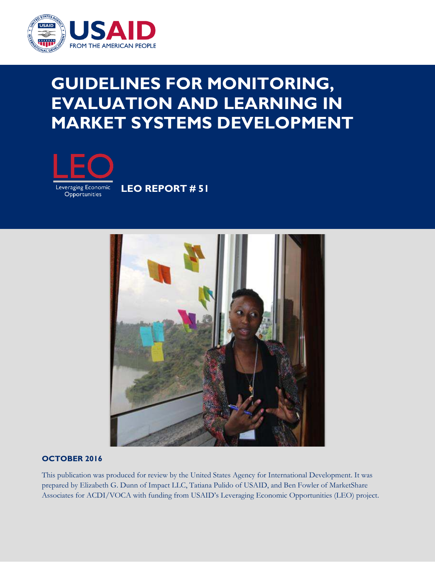

# **GUIDELINES FOR MONITORING, EVALUATION AND LEARNING IN MARKET SYSTEMS DEVELOPMENT**



**LEO REPORT # 51**



## **OCTOBER 2016**

This publication was produced for review by the United States Agency for International Development. It was prepared by Elizabeth G. Dunn of Impact LLC, Tatiana Pulido of USAID, and Ben Fowler of MarketShare Associates for ACDI/VOCA with funding from USAID's Leveraging Economic Opportunities (LEO) project.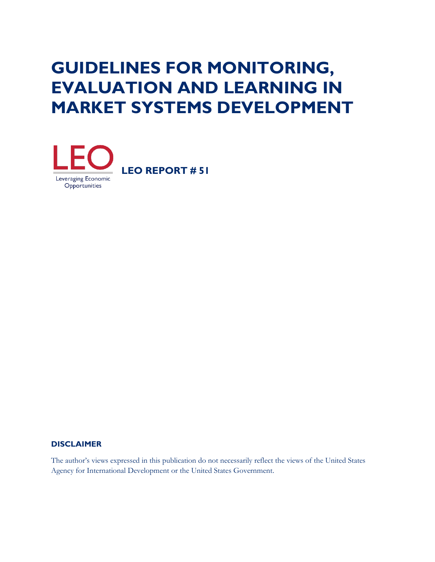# **GUIDELINES FOR MONITORING, EVALUATION AND LEARNING IN MARKET SYSTEMS DEVELOPMENT**



#### **DISCLAIMER**

The author's views expressed in this publication do not necessarily reflect the views of the United States Agency for International Development or the United States Government.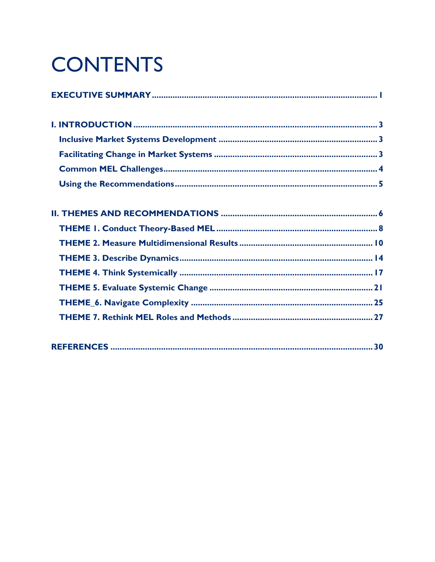# **CONTENTS**

|--|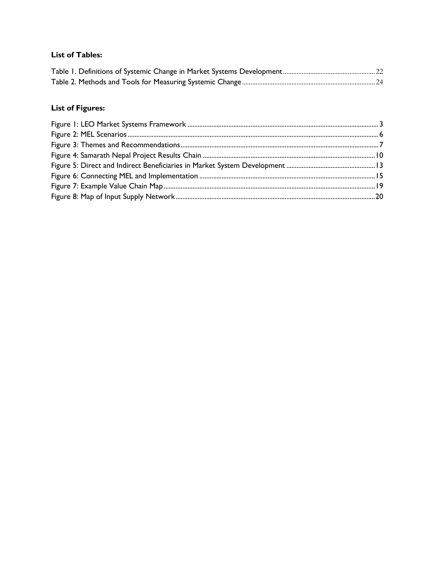## **List of Tables:**

# **List of Figures:**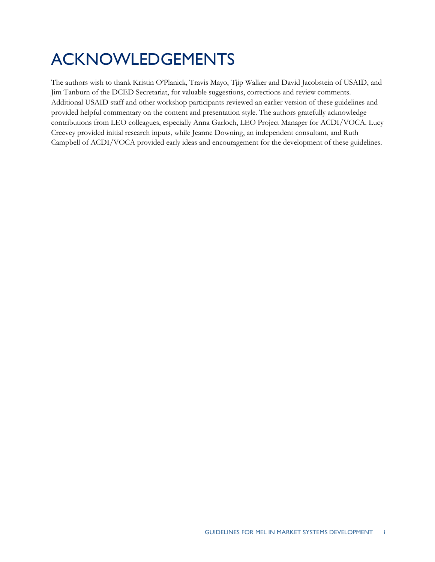# ACKNOWLEDGEMENTS

The authors wish to thank Kristin O'Planick, Travis Mayo, Tjip Walker and David Jacobstein of USAID, and Jim Tanburn of the DCED Secretariat, for valuable suggestions, corrections and review comments. Additional USAID staff and other workshop participants reviewed an earlier version of these guidelines and provided helpful commentary on the content and presentation style. The authors gratefully acknowledge contributions from LEO colleagues, especially Anna Garloch, LEO Project Manager for ACDI/VOCA. Lucy Creevey provided initial research inputs, while Jeanne Downing, an independent consultant, and Ruth Campbell of ACDI/VOCA provided early ideas and encouragement for the development of these guidelines.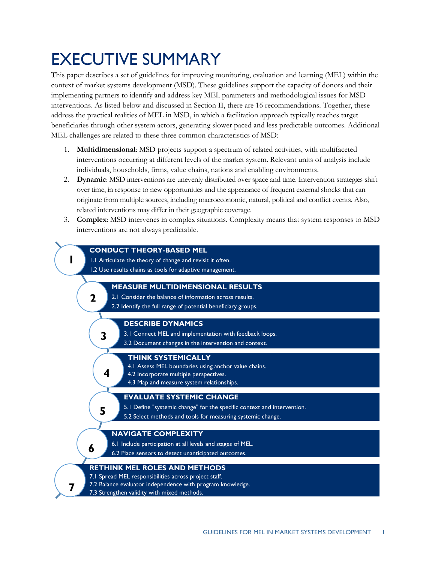# <span id="page-5-0"></span>EXECUTIVE SUMMARY

This paper describes a set of guidelines for improving monitoring, evaluation and learning (MEL) within the context of market systems development (MSD). These guidelines support the capacity of donors and their implementing partners to identify and address key MEL parameters and methodological issues for MSD interventions. As listed below and discussed in Section II, there are 16 recommendations. Together, these address the practical realities of MEL in MSD, in which a facilitation approach typically reaches target beneficiaries through other system actors, generating slower paced and less predictable outcomes. Additional MEL challenges are related to these three common characteristics of MSD:

- 1. **Multidimensional**: MSD projects support a spectrum of related activities, with multifaceted interventions occurring at different levels of the market system. Relevant units of analysis include individuals, households, firms, value chains, nations and enabling environments.
- 2. **Dynamic**: MSD interventions are unevenly distributed over space and time. Intervention strategies shift over time, in response to new opportunities and the appearance of frequent external shocks that can originate from multiple sources, including macroeconomic, natural, political and conflict events. Also, related interventions may differ in their geographic coverage.
- 3. **Complex**: MSD intervenes in complex situations. Complexity means that system responses to MSD interventions are not always predictable.

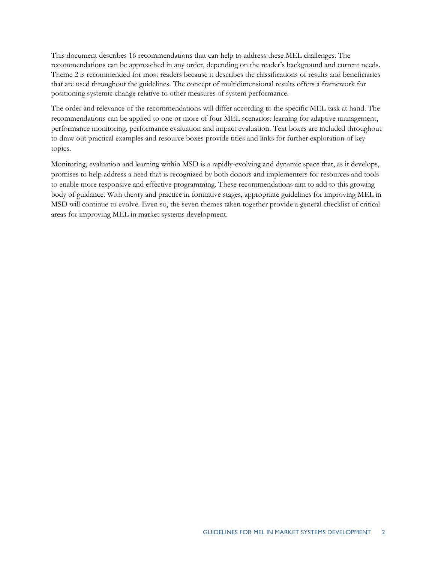This document describes 16 recommendations that can help to address these MEL challenges. The recommendations can be approached in any order, depending on the reader's background and current needs. Theme 2 is recommended for most readers because it describes the classifications of results and beneficiaries that are used throughout the guidelines. The concept of multidimensional results offers a framework for positioning systemic change relative to other measures of system performance.

The order and relevance of the recommendations will differ according to the specific MEL task at hand. The recommendations can be applied to one or more of four MEL scenarios: learning for adaptive management, performance monitoring, performance evaluation and impact evaluation. Text boxes are included throughout to draw out practical examples and resource boxes provide titles and links for further exploration of key topics.

Monitoring, evaluation and learning within MSD is a rapidly-evolving and dynamic space that, as it develops, promises to help address a need that is recognized by both donors and implementers for resources and tools to enable more responsive and effective programming. These recommendations aim to add to this growing body of guidance. With theory and practice in formative stages, appropriate guidelines for improving MEL in MSD will continue to evolve. Even so, the seven themes taken together provide a general checklist of critical areas for improving MEL in market systems development.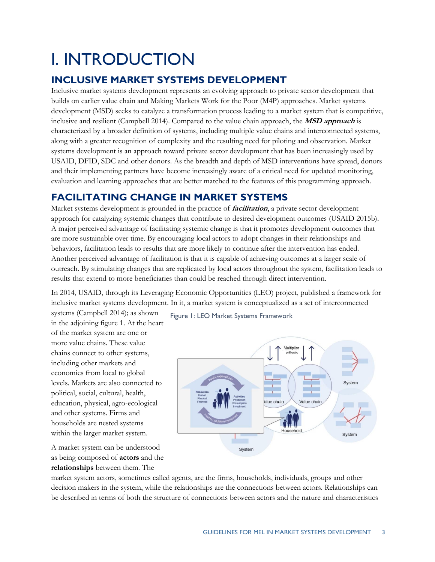# <span id="page-7-0"></span>I. INTRODUCTION

# <span id="page-7-1"></span>**INCLUSIVE MARKET SYSTEMS DEVELOPMENT**

Inclusive market systems development represents an evolving approach to private sector development that builds on earlier value chain and Making Markets Work for the Poor (M4P) approaches. Market systems development (MSD) seeks to catalyze a transformation process leading to a market system that is competitive, inclusive and resilient (Campbell 2014). Compared to the value chain approach, the **MSD approach** is characterized by a broader definition of systems, including multiple value chains and interconnected systems, along with a greater recognition of complexity and the resulting need for piloting and observation. Market systems development is an approach toward private sector development that has been increasingly used by USAID, DFID, SDC and other donors. As the breadth and depth of MSD interventions have spread, donors and their implementing partners have become increasingly aware of a critical need for updated monitoring, evaluation and learning approaches that are better matched to the features of this programming approach.

# <span id="page-7-2"></span>**FACILITATING CHANGE IN MARKET SYSTEMS**

Market systems development is grounded in the practice of **facilitation**, a private sector development approach for catalyzing systemic changes that contribute to desired development outcomes (USAID 2015b). A major perceived advantage of facilitating systemic change is that it promotes development outcomes that are more sustainable over time. By encouraging local actors to adopt changes in their relationships and behaviors, facilitation leads to results that are more likely to continue after the intervention has ended. Another perceived advantage of facilitation is that it is capable of achieving outcomes at a larger scale of outreach. By stimulating changes that are replicated by local actors throughout the system, facilitation leads to results that extend to more beneficiaries than could be reached through direct intervention.

In 2014, USAID, through its Leveraging Economic Opportunities (LEO) project, published a framework for inclusive market systems development. In it, a market system is conceptualized as a set of interconnected

systems (Campbell 2014); as shown in the adjoining figure 1. At the heart of the market system are one or more value chains. These value chains connect to other systems, including other markets and economies from local to global levels. Markets are also connected to political, social, cultural, health, education, physical, agro-ecological and other systems. Firms and households are nested systems within the larger market system.

A market system can be understood as being composed of **actors** and the **relationships** between them. The

Figure 1: LEO Market Systems Framework

![](_page_7_Figure_9.jpeg)

market system actors, sometimes called agents, are the firms, households, individuals, groups and other decision makers in the system, while the relationships are the connections between actors. Relationships can be described in terms of both the structure of connections between actors and the nature and characteristics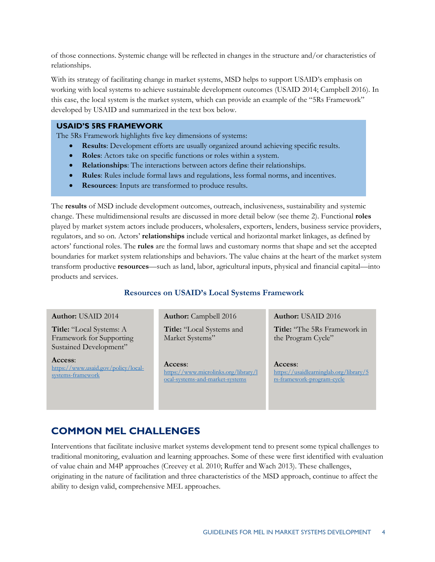of those connections. Systemic change will be reflected in changes in the structure and/or characteristics of relationships.

With its strategy of facilitating change in market systems, MSD helps to support USAID's emphasis on working with local systems to achieve sustainable development outcomes (USAID 2014; Campbell 2016). In this case, the local system is the market system, which can provide an example of the "5Rs Framework" developed by USAID and summarized in the text box below.

#### **USAID'S 5RS FRAMEWORK**

The 5Rs Framework highlights five key dimensions of systems:

- **Results**: Development efforts are usually organized around achieving specific results.
- **Roles**: Actors take on specific functions or roles within a system.
- **Relationships**: The interactions between actors define their relationships.
- **Rules**: Rules include formal laws and regulations, less formal norms, and incentives.
- **Resources**: Inputs are transformed to produce results.

The **results** of MSD include development outcomes, outreach, inclusiveness, sustainability and systemic change. These multidimensional results are discussed in more detail below (see theme 2). Functional **roles** played by market system actors include producers, wholesalers, exporters, lenders, business service providers, regulators, and so on. Actors' **relationships** include vertical and horizontal market linkages, as defined by actors' functional roles. The **rules** are the formal laws and customary norms that shape and set the accepted boundaries for market system relationships and behaviors. The value chains at the heart of the market system transform productive **resources**—such as land, labor, agricultural inputs, physical and financial capital—into products and services.

#### **Resources on USAID's Local Systems Framework**

#### **Author:** USAID 2014

**Title:** "Local Systems: A [Framework for Supporting](http://betterevaluation.org/toc_goodpractice)  Sustained Development"

**Access**: [https://www.usaid.gov/policy/local](https://www.usaid.gov/policy/local-systems-framework)[systems-framework](https://www.usaid.gov/policy/local-systems-framework) 

**Author:** Campbell 2016 **Title:** "Local Systems and Market Systems"

**Access**: [https://www.microlinks.org/library/l](https://usaidlearninglab.org/library/theories-change) [ocal-systems-and-market-systems](https://www.microlinks.org/library/local-systems-and-market-systems)

**Author:** USAID 2016 **Title:** "The 5Rs Framework in the Program Cycle"

**Access**: [https://usaidlearninglab.org/library/5](https://usaidlearninglab.org/library/5rs-framework-program-cycle) [rs-framework-program-cycle](https://usaidlearninglab.org/library/5rs-framework-program-cycle)

# <span id="page-8-0"></span>**COMMON MEL CHALLENGES**

Interventions that facilitate inclusive market systems development tend to present some typical challenges to traditional monitoring, evaluation and learning approaches. Some of these were first identified with evaluation of value chain and M4P approaches (Creevey et al. 2010; Ruffer and Wach 2013). These challenges, originating in the nature of facilitation and three characteristics of the MSD approach, continue to affect the ability to design valid, comprehensive MEL approaches.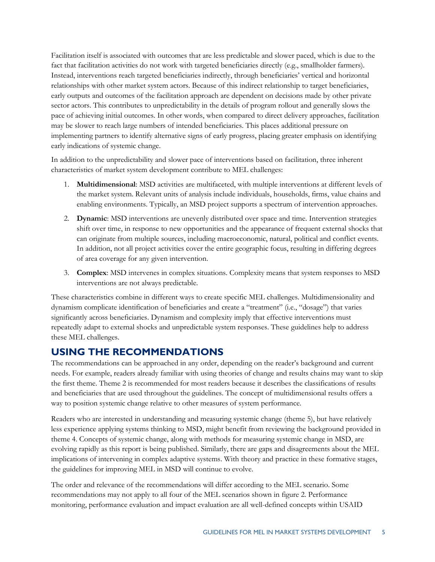Facilitation itself is associated with outcomes that are less predictable and slower paced, which is due to the fact that facilitation activities do not work with targeted beneficiaries directly (e.g., smallholder farmers). Instead, interventions reach targeted beneficiaries indirectly, through beneficiaries' vertical and horizontal relationships with other market system actors. Because of this indirect relationship to target beneficiaries, early outputs and outcomes of the facilitation approach are dependent on decisions made by other private sector actors. This contributes to unpredictability in the details of program rollout and generally slows the pace of achieving initial outcomes. In other words, when compared to direct delivery approaches, facilitation may be slower to reach large numbers of intended beneficiaries. This places additional pressure on implementing partners to identify alternative signs of early progress, placing greater emphasis on identifying early indications of systemic change.

In addition to the unpredictability and slower pace of interventions based on facilitation, three inherent characteristics of market system development contribute to MEL challenges:

- 1. **Multidimensional**: MSD activities are multifaceted, with multiple interventions at different levels of the market system. Relevant units of analysis include individuals, households, firms, value chains and enabling environments. Typically, an MSD project supports a spectrum of intervention approaches.
- 2. **Dynamic**: MSD interventions are unevenly distributed over space and time. Intervention strategies shift over time, in response to new opportunities and the appearance of frequent external shocks that can originate from multiple sources, including macroeconomic, natural, political and conflict events. In addition, not all project activities cover the entire geographic focus, resulting in differing degrees of area coverage for any given intervention.
- 3. **Complex**: MSD intervenes in complex situations. Complexity means that system responses to MSD interventions are not always predictable.

These characteristics combine in different ways to create specific MEL challenges. Multidimensionality and dynamism complicate identification of beneficiaries and create a "treatment" (i.e., "dosage") that varies significantly across beneficiaries. Dynamism and complexity imply that effective interventions must repeatedly adapt to external shocks and unpredictable system responses. These guidelines help to address these MEL challenges.

# <span id="page-9-0"></span>**USING THE RECOMMENDATIONS**

The recommendations can be approached in any order, depending on the reader's background and current needs. For example, readers already familiar with using theories of change and results chains may want to skip the first theme. Theme 2 is recommended for most readers because it describes the classifications of results and beneficiaries that are used throughout the guidelines. The concept of multidimensional results offers a way to position systemic change relative to other measures of system performance.

Readers who are interested in understanding and measuring systemic change (theme 5), but have relatively less experience applying systems thinking to MSD, might benefit from reviewing the background provided in theme 4. Concepts of systemic change, along with methods for measuring systemic change in MSD, are evolving rapidly as this report is being published. Similarly, there are gaps and disagreements about the MEL implications of intervening in complex adaptive systems. With theory and practice in these formative stages, the guidelines for improving MEL in MSD will continue to evolve.

The order and relevance of the recommendations will differ according to the MEL scenario. Some recommendations may not apply to all four of the MEL scenarios shown in figure 2. Performance monitoring, performance evaluation and impact evaluation are all well-defined concepts within USAID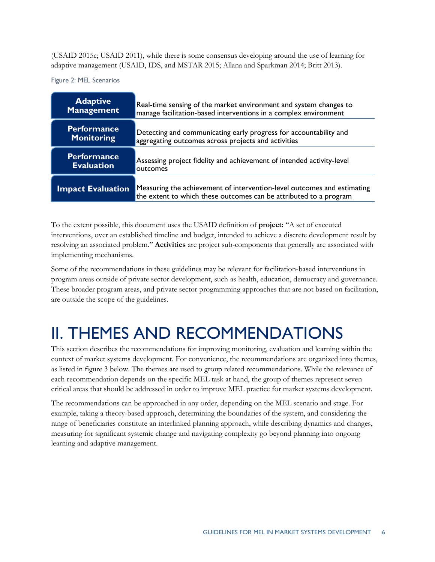(USAID 2015c; USAID 2011), while there is some consensus developing around the use of learning for adaptive management (USAID, IDS, and MSTAR 2015; Allana and Sparkman 2014; Britt 2013).

<span id="page-10-1"></span>Figure 2: MEL Scenarios

| <b>Adaptive</b>          | Real-time sensing of the market environment and system changes to                                                                            |
|--------------------------|----------------------------------------------------------------------------------------------------------------------------------------------|
| <b>Management</b>        | manage facilitation-based interventions in a complex environment                                                                             |
| <b>Performance</b>       | Detecting and communicating early progress for accountability and                                                                            |
| <b>Monitoring</b>        | aggregating outcomes across projects and activities                                                                                          |
| <b>Performance</b>       | Assessing project fidelity and achievement of intended activity-level                                                                        |
| <b>Evaluation</b>        | outcomes                                                                                                                                     |
| <b>Impact Evaluation</b> | Measuring the achievement of intervention-level outcomes and estimating<br>the extent to which these outcomes can be attributed to a program |

To the extent possible, this document uses the USAID definition of **project:** "A set of executed interventions, over an established timeline and budget, intended to achieve a discrete development result by resolving an associated problem." **Activities** are project sub-components that generally are associated with implementing mechanisms.

Some of the recommendations in these guidelines may be relevant for facilitation-based interventions in program areas outside of private sector development, such as health, education, democracy and governance. These broader program areas, and private sector programming approaches that are not based on facilitation, are outside the scope of the guidelines.

# <span id="page-10-0"></span>II. THEMES AND RECOMMENDATIONS

This section describes the recommendations for improving monitoring, evaluation and learning within the context of market systems development. For convenience, the recommendations are organized into themes, as listed in figure 3 below. The themes are used to group related recommendations. While the relevance of each recommendation depends on the specific MEL task at hand, the group of themes represent seven critical areas that should be addressed in order to improve MEL practice for market systems development.

<span id="page-10-2"></span>The recommendations can be approached in any order, depending on the MEL scenario and stage. For example, taking a theory-based approach, determining the boundaries of the system, and considering the range of beneficiaries constitute an interlinked planning approach, while describing dynamics and changes, measuring for significant systemic change and navigating complexity go beyond planning into ongoing learning and adaptive management.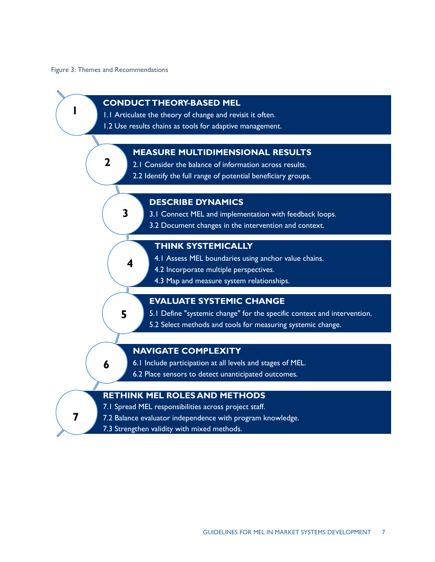Figure 3: Themes and Recommendations

![](_page_11_Figure_1.jpeg)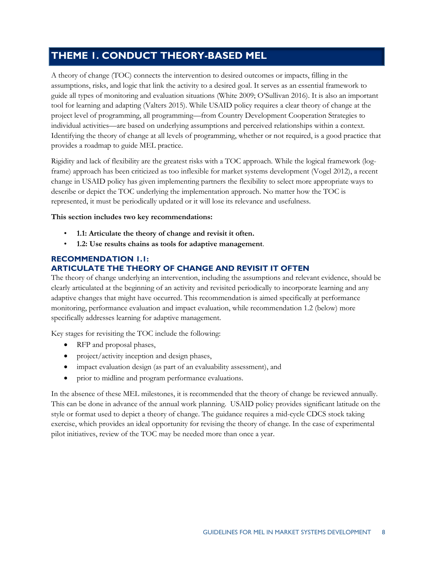# <span id="page-12-0"></span>**THEME 1. CONDUCT THEORY-BASED MEL**

A theory of change (TOC) connects the intervention to desired outcomes or impacts, filling in the assumptions, risks, and logic that link the activity to a desired goal. It serves as an essential framework to guide all types of monitoring and evaluation situations (White 2009; O'Sullivan 2016). It is also an important tool for learning and adapting (Valters 2015). While USAID policy requires a clear theory of change at the project level of programming, all programming—from Country Development Cooperation Strategies to individual activities—are based on underlying assumptions and perceived relationships within a context. Identifying the theory of change at all levels of programming, whether or not required, is a good practice that provides a roadmap to guide MEL practice.

Rigidity and lack of flexibility are the greatest risks with a TOC approach. While the logical framework (logframe) approach has been criticized as too inflexible for market systems development (Vogel 2012), a recent change in USAID policy has given implementing partners the flexibility to select more appropriate ways to describe or depict the TOC underlying the implementation approach. No matter how the TOC is represented, it must be periodically updated or it will lose its relevance and usefulness.

#### **This section includes two key recommendations:**

- **1.1: Articulate the theory of change and revisit it often.**
- **1.2: Use results chains as tools for adaptive management**.

#### **RECOMMENDATION 1.1: ARTICULATE THE THEORY OF CHANGE AND REVISIT IT OFTEN**

The theory of change underlying an intervention, including the assumptions and relevant evidence, should be clearly articulated at the beginning of an activity and revisited periodically to incorporate learning and any adaptive changes that might have occurred. This recommendation is aimed specifically at performance monitoring, performance evaluation and impact evaluation, while recommendation 1.2 (below) more specifically addresses learning for adaptive management.

Key stages for revisiting the TOC include the following:

- RFP and proposal phases,
- project/activity inception and design phases,
- impact evaluation design (as part of an evaluability assessment), and
- prior to midline and program performance evaluations.

In the absence of these MEL milestones, it is recommended that the theory of change be reviewed annually. This can be done in advance of the annual work planning. USAID policy provides significant latitude on the style or format used to depict a theory of change. The guidance requires a mid-cycle CDCS stock taking exercise, which provides an ideal opportunity for revising the theory of change. In the case of experimental pilot initiatives, review of the TOC may be needed more than once a year.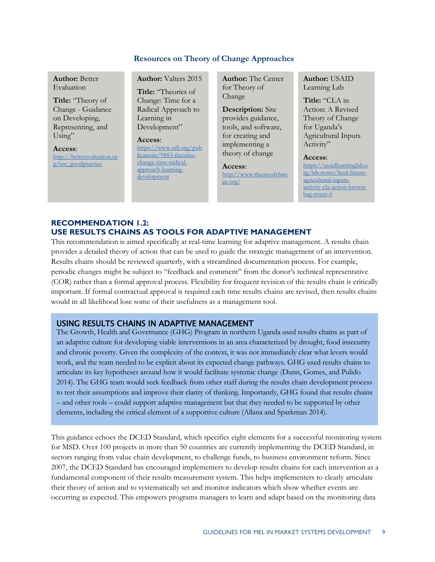#### **Resources on Theory of Change Approaches**

**Author:** Better Evaluation

**Title:** "Theory of [Change - Guidance](http://betterevaluation.org/toc_goodpractice)  on Developing, Representing, and Using"

**Access**:

[http://betterevaluation.or](http://betterevaluation.org/toc_goodpractice) [g/toc\\_goodpractice](http://betterevaluation.org/toc_goodpractice)

**Author:** Valters 2015

**Title:** "Theories of Change: Time for a [Radical Approach to](https://usaidlearninglab.org/library/theories-change)  Learning in Development"

#### **Access**:

[https://www.odi.org/pub](https://www.odi.org/publications/9883-theories-change-time-radical-approach-learning-development) [lications/9883-theories](https://www.odi.org/publications/9883-theories-change-time-radical-approach-learning-development)[change-time-radical](https://www.odi.org/publications/9883-theories-change-time-radical-approach-learning-development)[approach-learning](https://www.odi.org/publications/9883-theories-change-time-radical-approach-learning-development)[development](https://www.odi.org/publications/9883-theories-change-time-radical-approach-learning-development)

**Author:** The Center for Theory of Change

**Description:** Site provides guidance, [tools, and software,](http://www.theoryofchange.org/)  for creating and implementing a theory of change

**Access**: [http://www.theoryofchan](http://www.theoryofchange.org/) [ge.org/](http://www.theoryofchange.org/)

**Author:** USAID Learning Lab

**Title:** "CLA in Action: A Revised Theory of Change for Uganda's [Agricultural Inputs](https://usaidlearninglab.org/lab-notes/feed-future-agricultural-inputs-activity-cla-action-brown-bag-event-0)  Activity"

#### **Access**:

[https://usaidlearninglab.o](https://usaidlearninglab.org/lab-notes/feed-future-agricultural-inputs-activity-cla-action-brown-bag-event-0) [rg/lab-notes/feed-future](https://usaidlearninglab.org/lab-notes/feed-future-agricultural-inputs-activity-cla-action-brown-bag-event-0)[agricultural-inputs](https://usaidlearninglab.org/lab-notes/feed-future-agricultural-inputs-activity-cla-action-brown-bag-event-0)[activity-cla-action-brown](https://usaidlearninglab.org/lab-notes/feed-future-agricultural-inputs-activity-cla-action-brown-bag-event-0)[bag-event-0](https://usaidlearninglab.org/lab-notes/feed-future-agricultural-inputs-activity-cla-action-brown-bag-event-0)

#### **RECOMMENDATION 1.2: USE RESULTS CHAINS AS TOOLS FOR ADAPTIVE MANAGEMENT**

This recommendation is aimed specifically at real-time learning for adaptive management. A results chain provides a detailed theory of action that can be used to guide the strategic management of an intervention. Results chains should be reviewed quarterly, with a streamlined documentation process. For example, periodic changes might be subject to "feedback and comment" from the donor's technical representative (COR) rather than a formal approval process. Flexibility for frequent revision of the results chain is critically important. If formal contractual approval is required each time results chains are revised, then results chains would in all likelihood lose some of their usefulness as a management tool.

#### USING RESULTS CHAINS IN ADAPTIVE MANAGEMENT

The Growth, Health and Governance (GHG) Program in northern Uganda used results chains as part of an adaptive culture for developing viable interventions in an area characterized by drought, food insecurity and chronic poverty. Given the complexity of the context, it was not immediately clear what levers would work, and the team needed to be explicit about its expected change pathways. GHG used results chains to articulate its key hypotheses around how it would facilitate systemic change (Dunn, Gomes, and Pulido 2014). The GHG team would seek feedback from other staff during the results chain development process to test their assumptions and improve their clarity of thinking. Importantly, GHG found that results chains – and other tools – could support adaptive management but that they needed to be supported by other elements, including the critical element of a supportive culture (Allana and Sparkman 2014).

This guidance echoes the DCED Standard, which specifies eight elements for a successful monitoring system for MSD. Over 100 projects in more than 50 countries are currently implementing the DCED Standard, in sectors ranging from value chain development, to challenge funds, to business environment reform. Since 2007, the DCED Standard has encouraged implementers to develop results chains for each intervention as a fundamental component of their results measurement system. This helps implementers to clearly articulate their theory of action and to systematically set and monitor indicators which show whether events are occurring as expected. This empowers programs managers to learn and adapt based on the monitoring data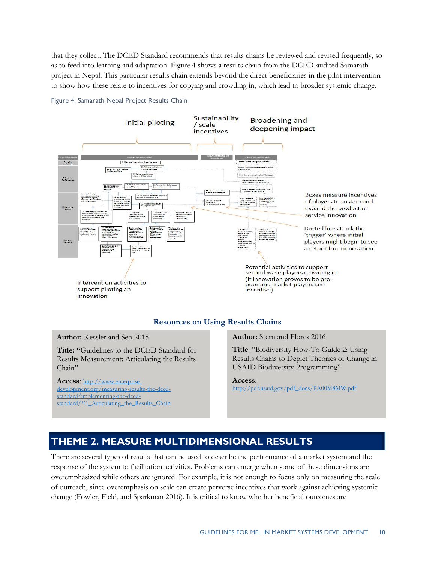that they collect. The DCED Standard recommends that results chains be reviewed and revised frequently, so as to feed into learning and adaptation. Figure 4 shows a results chain from the DCED-audited Samarath project in Nepal. This particular results chain extends beyond the direct beneficiaries in the pilot intervention to show how these relate to incentives for copying and crowding in, which lead to broader systemic change.

![](_page_14_Figure_1.jpeg)

<span id="page-14-1"></span>Figure 4: Samarath Nepal Project Results Chain

#### **Resources on Using Results Chains**

**Author:** Kessler and Sen 2015

**Title: "**Guidelines to the DCED Standard for Results Measurement: Articulating the Results Chain"

**Access**: [http://www.enterprise](http://www.enterprise-development.org/measuring-results-the-dced-standard/implementing-the-dced-standard/#1_Articulating_the_Results_Chain)[development.org/measuring-results-the-dced](http://www.enterprise-development.org/measuring-results-the-dced-standard/implementing-the-dced-standard/#1_Articulating_the_Results_Chain)[standard/implementing-the-dced](http://www.enterprise-development.org/measuring-results-the-dced-standard/implementing-the-dced-standard/#1_Articulating_the_Results_Chain)[standard/#1\\_Articulating\\_the\\_Results\\_Chain](http://www.enterprise-development.org/measuring-results-the-dced-standard/implementing-the-dced-standard/#1_Articulating_the_Results_Chain) **Author:** Stern and Flores 2016

**Title**: "Biodiversity How-To Guide 2: Using Results Chains to Depict Theories of Change in USAID Biodiversity Programming"

#### **Access**:

[http://pdf.usaid.gov/pdf\\_docs/PA00M8MW.pdf](http://pdf.usaid.gov/pdf_docs/PA00M8MW.pdf) 

# <span id="page-14-0"></span>**THEME 2. MEASURE MULTIDIMENSIONAL RESULTS**

There are several types of results that can be used to describe the performance of a market system and the response of the system to facilitation activities. Problems can emerge when some of these dimensions are overemphasized while others are ignored. For example, it is not enough to focus only on measuring the scale of outreach, since overemphasis on scale can create perverse incentives that work against achieving systemic change (Fowler, Field, and Sparkman 2016). It is critical to know whether beneficial outcomes are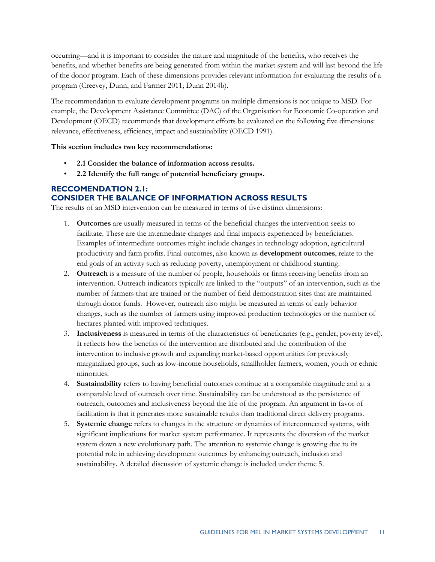occurring—and it is important to consider the nature and magnitude of the benefits, who receives the benefits, and whether benefits are being generated from within the market system and will last beyond the life of the donor program. Each of these dimensions provides relevant information for evaluating the results of a program (Creevey, Dunn, and Farmer 2011; Dunn 2014b).

The recommendation to evaluate development programs on multiple dimensions is not unique to MSD. For example, the Development Assistance Committee (DAC) of the Organisation for Economic Co-operation and Development (OECD) recommends that development efforts be evaluated on the following five dimensions: relevance, effectiveness, efficiency, impact and sustainability (OECD 1991).

**This section includes two key recommendations:** 

- **2.1 Consider the balance of information across results.**
- **2.2 Identify the full range of potential beneficiary groups.**

#### **RECCOMENDATION 2.1: CONSIDER THE BALANCE OF INFORMATION ACROSS RESULTS**

The results of an MSD intervention can be measured in terms of five distinct dimensions:

- 1. **Outcomes** are usually measured in terms of the beneficial changes the intervention seeks to facilitate. These are the intermediate changes and final impacts experienced by beneficiaries. Examples of intermediate outcomes might include changes in technology adoption, agricultural productivity and farm profits. Final outcomes, also known as **development outcomes**, relate to the end goals of an activity such as reducing poverty, unemployment or childhood stunting.
- 2. **Outreach** is a measure of the number of people, households or firms receiving benefits from an intervention. Outreach indicators typically are linked to the "outputs" of an intervention, such as the number of farmers that are trained or the number of field demonstration sites that are maintained through donor funds. However, outreach also might be measured in terms of early behavior changes, such as the number of farmers using improved production technologies or the number of hectares planted with improved techniques.
- 3. **Inclusiveness** is measured in terms of the characteristics of beneficiaries (e.g., gender, poverty level). It reflects how the benefits of the intervention are distributed and the contribution of the intervention to inclusive growth and expanding market-based opportunities for previously marginalized groups, such as low-income households, smallholder farmers, women, youth or ethnic minorities.
- 4. **Sustainability** refers to having beneficial outcomes continue at a comparable magnitude and at a comparable level of outreach over time. Sustainability can be understood as the persistence of outreach, outcomes and inclusiveness beyond the life of the program. An argument in favor of facilitation is that it generates more sustainable results than traditional direct delivery programs.
- 5. **Systemic change** refers to changes in the structure or dynamics of interconnected systems, with significant implications for market system performance. It represents the diversion of the market system down a new evolutionary path. The attention to systemic change is growing due to its potential role in achieving development outcomes by enhancing outreach, inclusion and sustainability. A detailed discussion of systemic change is included under theme 5.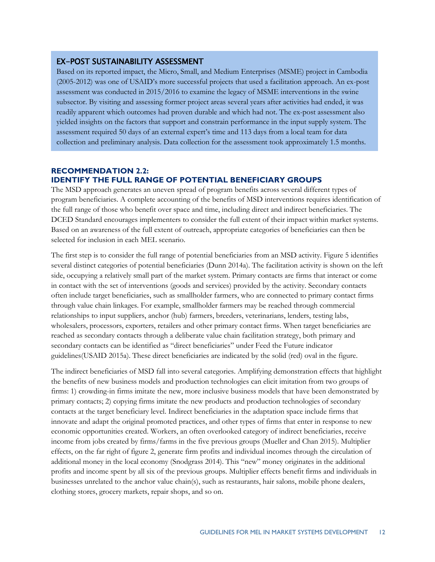#### EX-POST SUSTAINABILITY ASSESSMENT

Based on its reported impact, the Micro, Small, and Medium Enterprises (MSME) project in Cambodia (2005-2012) was one of USAID's more successful projects that used a facilitation approach. An ex-post assessment was conducted in 2015/2016 to examine the legacy of MSME interventions in the swine subsector. By visiting and assessing former project areas several years after activities had ended, it was readily apparent which outcomes had proven durable and which had not. The ex-post assessment also yielded insights on the factors that support and constrain performance in the input supply system. The assessment required 50 days of an external expert's time and 113 days from a local team for data collection and preliminary analysis. Data collection for the assessment took approximately 1.5 months.

#### **RECOMMENDATION 2.2: IDENTIFY THE FULL RANGE OF POTENTIAL BENEFICIARY GROUPS**

The MSD approach generates an uneven spread of program benefits across several different types of program beneficiaries. A complete accounting of the benefits of MSD interventions requires identification of the full range of those who benefit over space and time, including direct and indirect beneficiaries. The DCED Standard encourages implementers to consider the full extent of their impact within market systems. Based on an awareness of the full extent of outreach, appropriate categories of beneficiaries can then be selected for inclusion in each MEL scenario.

The first step is to consider the full range of potential beneficiaries from an MSD activity. Figure 5 identifies several distinct categories of potential beneficiaries (Dunn 2014a). The facilitation activity is shown on the left side, occupying a relatively small part of the market system. Primary contacts are firms that interact or come in contact with the set of interventions (goods and services) provided by the activity. Secondary contacts often include target beneficiaries, such as smallholder farmers, who are connected to primary contact firms through value chain linkages. For example, smallholder farmers may be reached through commercial relationships to input suppliers, anchor (hub) farmers, breeders, veterinarians, lenders, testing labs, wholesalers, processors, exporters, retailers and other primary contact firms. When target beneficiaries are reached as secondary contacts through a deliberate value chain facilitation strategy, both primary and secondary contacts can be identified as "direct beneficiaries" under Feed the Future indicator guidelines(USAID 2015a). These direct beneficiaries are indicated by the solid (red) oval in the figure.

The indirect beneficiaries of MSD fall into several categories. Amplifying demonstration effects that highlight the benefits of new business models and production technologies can elicit imitation from two groups of firms: 1) crowding-in firms imitate the new, more inclusive business models that have been demonstrated by primary contacts; 2) copying firms imitate the new products and production technologies of secondary contacts at the target beneficiary level. Indirect beneficiaries in the adaptation space include firms that innovate and adapt the original promoted practices, and other types of firms that enter in response to new economic opportunities created. Workers, an often overlooked category of indirect beneficiaries, receive income from jobs created by firms/farms in the five previous groups (Mueller and Chan 2015). Multiplier effects, on the far right of figure 2, generate firm profits and individual incomes through the circulation of additional money in the local economy (Snodgrass 2014). This "new" money originates in the additional profits and income spent by all six of the previous groups. Multiplier effects benefit firms and individuals in businesses unrelated to the anchor value chain(s), such as restaurants, hair salons, mobile phone dealers, clothing stores, grocery markets, repair shops, and so on.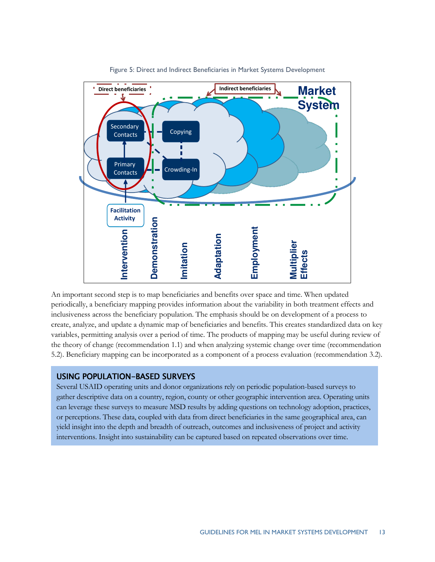<span id="page-17-0"></span>![](_page_17_Figure_0.jpeg)

Figure 5: Direct and Indirect Beneficiaries in Market Systems Development

An important second step is to map beneficiaries and benefits over space and time. When updated periodically, a beneficiary mapping provides information about the variability in both treatment effects and inclusiveness across the beneficiary population. The emphasis should be on development of a process to create, analyze, and update a dynamic map of beneficiaries and benefits. This creates standardized data on key variables, permitting analysis over a period of time. The products of mapping may be useful during review of the theory of change (recommendation 1.1) and when analyzing systemic change over time (recommendation 5.2). Beneficiary mapping can be incorporated as a component of a process evaluation (recommendation 3.2).

## USING POPULATION-BASED SURVEYS

Several USAID operating units and donor organizations rely on periodic population-based surveys to gather descriptive data on a country, region, county or other geographic intervention area. Operating units can leverage these surveys to measure MSD results by adding questions on technology adoption, practices, or perceptions. These data, coupled with data from direct beneficiaries in the same geographical area, can yield insight into the depth and breadth of outreach, outcomes and inclusiveness of project and activity interventions. Insight into sustainability can be captured based on repeated observations over time.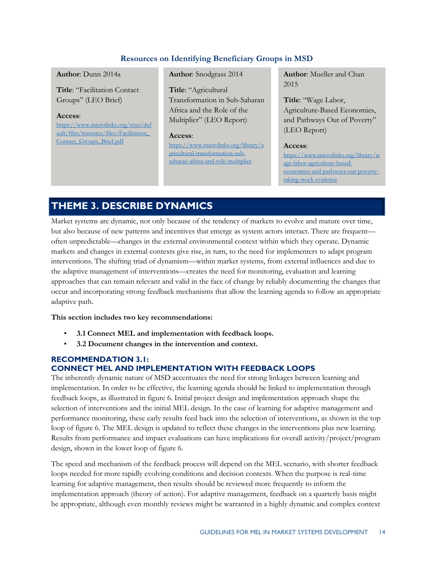### **Resources on Identifying Beneficiary Groups in MSD**

#### **Author**: Dunn 2014a

**Title**: "Facilitation Contact Groups" (LEO Brief)

**Access**: [https://www.microlinks.org/sites/def](https://www.microlinks.org/sites/default/files/resource/files/Facilitation_Contact_Groups_Brief.pdf) [ault/files/resource/files/Facilitation\\_](https://www.microlinks.org/sites/default/files/resource/files/Facilitation_Contact_Groups_Brief.pdf) Contact Groups Brief.pdf

**Author**: Snodgrass 2014

### **Title**: "Agricultural Transformation in Sub-Saharan Africa and the Role of the

Multiplier" (LEO Report)

#### **Access**:

[https://www.microlinks.org/library/a](https://www.microlinks.org/library/agricultural-transformation-sub-saharan-africa-and-role-multiplier) [gricultural-transformation-sub](https://www.microlinks.org/library/agricultural-transformation-sub-saharan-africa-and-role-multiplier)[saharan-africa-and-role-multiplier](https://www.microlinks.org/library/agricultural-transformation-sub-saharan-africa-and-role-multiplier)

**Author**: Mueller and Chan 2015

**Title**: "Wage Labor, Agriculture-Based Economies, and Pathways Out of Poverty" (LEO Report)

#### **Access**:

[https://www.microlinks.org/library/w](https://www.microlinks.org/library/wage-labor-agriculture-based-economies-and-pathways-out-poverty-taking-stock-evidence) [age-labor-agriculture-based](https://www.microlinks.org/library/wage-labor-agriculture-based-economies-and-pathways-out-poverty-taking-stock-evidence)[economies-and-pathways-out-poverty](https://www.microlinks.org/library/wage-labor-agriculture-based-economies-and-pathways-out-poverty-taking-stock-evidence)[taking-stock-evidence](https://www.microlinks.org/library/wage-labor-agriculture-based-economies-and-pathways-out-poverty-taking-stock-evidence)

# <span id="page-18-0"></span>**THEME 3. DESCRIBE DYNAMICS**

Market systems are dynamic, not only because of the tendency of markets to evolve and mature over time, but also because of new patterns and incentives that emerge as system actors interact. There are frequent often unpredictable—changes in the external environmental context within which they operate. Dynamic markets and changes in external contexts give rise, in turn, to the need for implementers to adapt program interventions. The shifting triad of dynamism—within market systems, from external influences and due to the adaptive management of interventions—creates the need for monitoring, evaluation and learning approaches that can remain relevant and valid in the face of change by reliably documenting the changes that occur and incorporating strong feedback mechanisms that allow the learning agenda to follow an appropriate adaptive path.

**This section includes two key recommendations:** 

- **3.1 Connect MEL and implementation with feedback loops.**
- **3.2 Document changes in the intervention and context.**

#### **RECOMMENDATION 3.1: CONNECT MEL AND IMPLEMENTATION WITH FEEDBACK LOOPS**

The inherently dynamic nature of MSD accentuates the need for strong linkages between learning and implementation. In order to be effective, the learning agenda should be linked to implementation through feedback loops, as illustrated in figure 6. Initial project design and implementation approach shape the selection of interventions and the initial MEL design. In the case of learning for adaptive management and performance monitoring, these early results feed back into the selection of interventions, as shown in the top loop of figure 6. The MEL design is updated to reflect these changes in the interventions plus new learning. Results from performance and impact evaluations can have implications for overall activity/project/program design, shown in the lower loop of figure 6.

The speed and mechanism of the feedback process will depend on the MEL scenario, with shorter feedback loops needed for more rapidly evolving conditions and decision contexts. When the purpose is real-time learning for adaptive management, then results should be reviewed more frequently to inform the implementation approach (theory of action). For adaptive management, feedback on a quarterly basis might be appropriate, although even monthly reviews might be warranted in a highly dynamic and complex context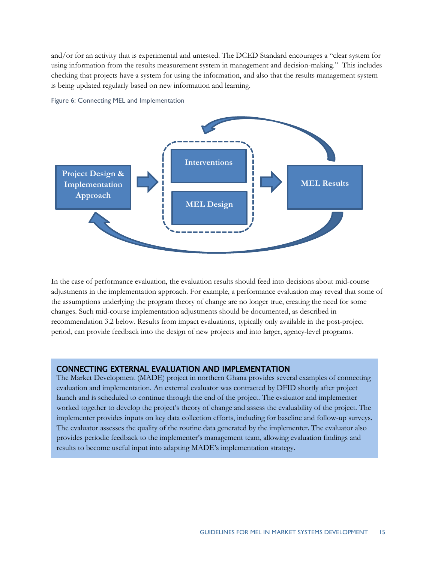and/or for an activity that is experimental and untested. The DCED Standard encourages a "clear system for using information from the results measurement system in management and decision-making." This includes checking that projects have a system for using the information, and also that the results management system is being updated regularly based on new information and learning.

![](_page_19_Figure_1.jpeg)

Figure 6: Connecting MEL and Implementation

In the case of performance evaluation, the evaluation results should feed into decisions about mid-course adjustments in the implementation approach. For example, a performance evaluation may reveal that some of the assumptions underlying the program theory of change are no longer true, creating the need for some changes. Such mid-course implementation adjustments should be documented, as described in recommendation 3.2 below. Results from impact evaluations, typically only available in the post-project period, can provide feedback into the design of new projects and into larger, agency-level programs.

#### CONNECTING EXTERNAL EVALUATION AND IMPLEMENTATION

The Market Development (MADE) project in northern Ghana provides several examples of connecting evaluation and implementation. An external evaluator was contracted by DFID shortly after project launch and is scheduled to continue through the end of the project. The evaluator and implementer worked together to develop the project's theory of change and assess the evaluability of the project. The implementer provides inputs on key data collection efforts, including for baseline and follow-up surveys. The evaluator assesses the quality of the routine data generated by the implementer. The evaluator also provides periodic feedback to the implementer's management team, allowing evaluation findings and results to become useful input into adapting MADE's implementation strategy.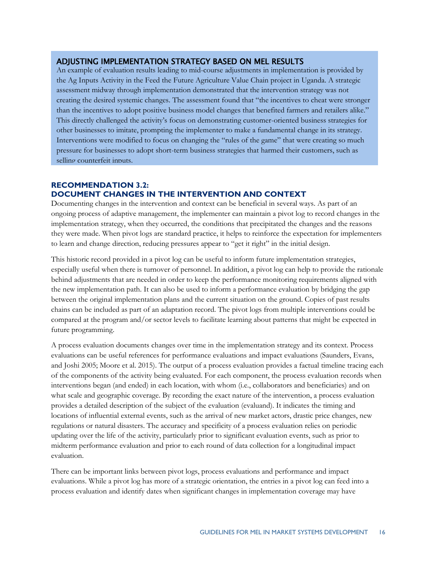#### ADJUSTING IMPLEMENTATION STRATEGY BASED ON MEL RESULTS

An example of evaluation results leading to mid-course adjustments in implementation is provided by the Ag Inputs Activity in the Feed the Future Agriculture Value Chain project in Uganda. A strategic assessment midway through implementation demonstrated that the intervention strategy was not creating the desired systemic changes. The assessment found that "the incentives to cheat were stronger than the incentives to adopt positive business model changes that benefited farmers and retailers alike." This directly challenged the activity's focus on demonstrating customer-oriented business strategies for other businesses to imitate, prompting the implementer to make a fundamental change in its strategy. Interventions were modified to focus on changing the "rules of the game" that were creating so much pressure for businesses to adopt short-term business strategies that harmed their customers, such as selling counterfeit inputs.

### **RECOMMENDATION 3.2: DOCUMENT CHANGES IN THE INTERVENTION AND CONTEXT**

Documenting changes in the intervention and context can be beneficial in several ways. As part of an ongoing process of adaptive management, the implementer can maintain a pivot log to record changes in the implementation strategy, when they occurred, the conditions that precipitated the changes and the reasons they were made. When pivot logs are standard practice, it helps to reinforce the expectation for implementers to learn and change direction, reducing pressures appear to "get it right" in the initial design.

This historic record provided in a pivot log can be useful to inform future implementation strategies, especially useful when there is turnover of personnel. In addition, a pivot log can help to provide the rationale behind adjustments that are needed in order to keep the performance monitoring requirements aligned with the new implementation path. It can also be used to inform a performance evaluation by bridging the gap between the original implementation plans and the current situation on the ground. Copies of past results chains can be included as part of an adaptation record. The pivot logs from multiple interventions could be compared at the program and/or sector levels to facilitate learning about patterns that might be expected in future programming.

A process evaluation documents changes over time in the implementation strategy and its context. Process evaluations can be useful references for performance evaluations and impact evaluations (Saunders, Evans, and Joshi 2005; Moore et al. 2015). The output of a process evaluation provides a factual timeline tracing each of the components of the activity being evaluated. For each component, the process evaluation records when interventions began (and ended) in each location, with whom (i.e., collaborators and beneficiaries) and on what scale and geographic coverage. By recording the exact nature of the intervention, a process evaluation provides a detailed description of the subject of the evaluation (evaluand). It indicates the timing and locations of influential external events, such as the arrival of new market actors, drastic price changes, new regulations or natural disasters. The accuracy and specificity of a process evaluation relies on periodic updating over the life of the activity, particularly prior to significant evaluation events, such as prior to midterm performance evaluation and prior to each round of data collection for a longitudinal impact evaluation.

There can be important links between pivot logs, process evaluations and performance and impact evaluations. While a pivot log has more of a strategic orientation, the entries in a pivot log can feed into a process evaluation and identify dates when significant changes in implementation coverage may have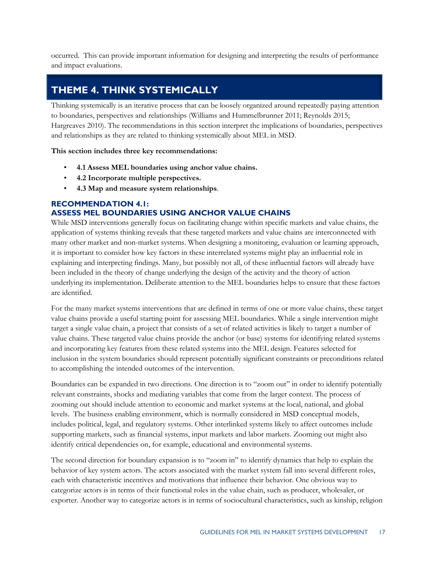occurred. This can provide important information for designing and interpreting the results of performance and impact evaluations.

# <span id="page-21-0"></span>**THEME 4. THINK SYSTEMICALLY**

Thinking systemically is an iterative process that can be loosely organized around repeatedly paying attention to boundaries, perspectives and relationships (Williams and Hummelbrunner 2011; Reynolds 2015; Hargreaves 2010). The recommendations in this section interpret the implications of boundaries, perspectives and relationships as they are related to thinking systemically about MEL in MSD.

**This section includes three key recommendations:** 

- **4.1 Assess MEL boundaries using anchor value chains.**
- **4.2 Incorporate multiple perspectives.**
- **4.3 Map and measure system relationships**.

#### **RECOMMENDATION 4.1: ASSESS MEL BOUNDARIES USING ANCHOR VALUE CHAINS**

While MSD interventions generally focus on facilitating change within specific markets and value chains, the application of systems thinking reveals that these targeted markets and value chains are interconnected with many other market and non-market systems. When designing a monitoring, evaluation or learning approach, it is important to consider how key factors in these interrelated systems might play an influential role in explaining and interpreting findings. Many, but possibly not all, of these influential factors will already have been included in the theory of change underlying the design of the activity and the theory of action underlying its implementation. Deliberate attention to the MEL boundaries helps to ensure that these factors are identified.

For the many market systems interventions that are defined in terms of one or more value chains, these target value chains provide a useful starting point for assessing MEL boundaries. While a single intervention might target a single value chain, a project that consists of a set of related activities is likely to target a number of value chains. These targeted value chains provide the anchor (or base) systems for identifying related systems and incorporating key features from these related systems into the MEL design. Features selected for inclusion in the system boundaries should represent potentially significant constraints or preconditions related to accomplishing the intended outcomes of the intervention.

Boundaries can be expanded in two directions. One direction is to "zoom out" in order to identify potentially relevant constraints, shocks and mediating variables that come from the larger context. The process of zooming out should include attention to economic and market systems at the local, national, and global levels. The business enabling environment, which is normally considered in MSD conceptual models, includes political, legal, and regulatory systems. Other interlinked systems likely to affect outcomes include supporting markets, such as financial systems, input markets and labor markets. Zooming out might also identify critical dependencies on, for example, educational and environmental systems.

The second direction for boundary expansion is to "zoom in" to identify dynamics that help to explain the behavior of key system actors. The actors associated with the market system fall into several different roles, each with characteristic incentives and motivations that influence their behavior. One obvious way to categorize actors is in terms of their functional roles in the value chain, such as producer, wholesaler, or exporter. Another way to categorize actors is in terms of sociocultural characteristics, such as kinship, religion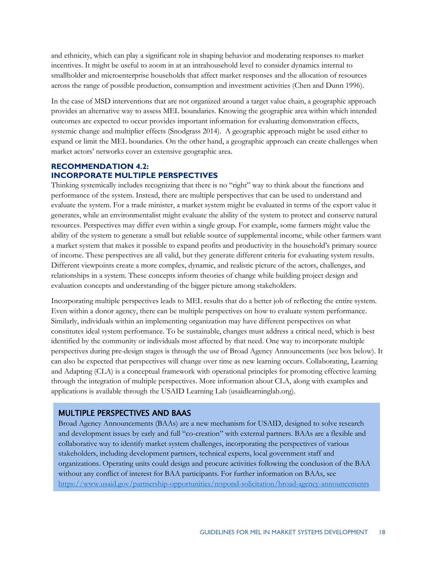and ethnicity, which can play a significant role in shaping behavior and moderating responses to market incentives. It might be useful to zoom in at an intrahousehold level to consider dynamics internal to smallholder and microenterprise households that affect market responses and the allocation of resources across the range of possible production, consumption and investment activities (Chen and Dunn 1996).

In the case of MSD interventions that are not organized around a target value chain, a geographic approach provides an alternative way to assess MEL boundaries. Knowing the geographic area within which intended outcomes are expected to occur provides important information for evaluating demonstration effects, systemic change and multiplier effects (Snodgrass 2014). A geographic approach might be used either to expand or limit the MEL boundaries. On the other hand, a geographic approach can create challenges when market actors' networks cover an extensive geographic area.

#### **RECOMMENDATION 4.2: INCORPORATE MULTIPLE PERSPECTIVES**

Thinking systemically includes recognizing that there is no "right" way to think about the functions and performance of the system. Instead, there are multiple perspectives that can be used to understand and evaluate the system. For a trade minister, a market system might be evaluated in terms of the export value it generates, while an environmentalist might evaluate the ability of the system to protect and conserve natural resources. Perspectives may differ even within a single group. For example, some farmers might value the ability of the system to generate a small but reliable source of supplemental income, while other farmers want a market system that makes it possible to expand profits and productivity in the household's primary source of income. These perspectives are all valid, but they generate different criteria for evaluating system results. Different viewpoints create a more complex, dynamic, and realistic picture of the actors, challenges, and relationships in a system. These concepts inform theories of change while building project design and evaluation concepts and understanding of the bigger picture among stakeholders.

Incorporating multiple perspectives leads to MEL results that do a better job of reflecting the entire system. Even within a donor agency, there can be multiple perspectives on how to evaluate system performance. Similarly, individuals within an implementing organization may have different perspectives on what constitutes ideal system performance. To be sustainable, changes must address a critical need, which is best identified by the community or individuals most affected by that need. One way to incorporate multiple perspectives during pre-design stages is through the use of Broad Agency Announcements (see box below). It can also be expected that perspectives will change over time as new learning occurs. Collaborating, Learning and Adapting (CLA) is a conceptual framework with operational principles for promoting effective learning through the integration of multiple perspectives. More information about CLA, along with examples and applications is available through the USAID Learning Lab (usaidlearninglab.org).

## MULTIPLE PERSPECTIVES AND BAAS

Broad Agency Announcements (BAAs) are a new mechanism for USAID, designed to solve research and development issues by early and full "co-creation" with external partners. BAAs are a flexible and collaborative way to identify market system challenges, incorporating the perspectives of various stakeholders, including development partners, technical experts, local government staff and organizations. Operating units could design and procure activities following the conclusion of the BAA without any conflict of interest for BAA participants. For further information on BAAs, see <https://www.usaid.gov/partnership-opportunities/respond-solicitation/broad-agency-announcements>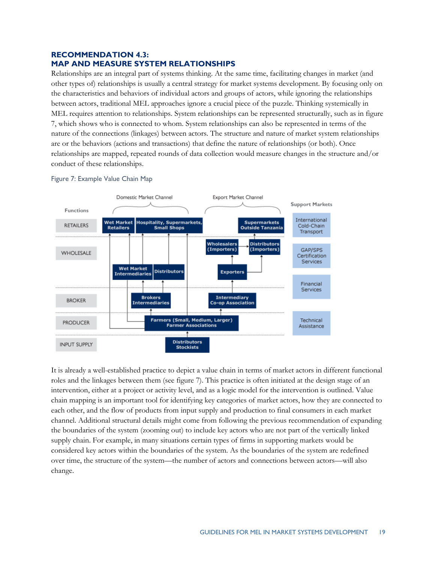#### **RECOMMENDATION 4.3: MAP AND MEASURE SYSTEM RELATIONSHIPS**

Relationships are an integral part of systems thinking. At the same time, facilitating changes in market (and other types of) relationships is usually a central strategy for market systems development. By focusing only on the characteristics and behaviors of individual actors and groups of actors, while ignoring the relationships between actors, traditional MEL approaches ignore a crucial piece of the puzzle. Thinking systemically in MEL requires attention to relationships. System relationships can be represented structurally, such as in figure 7, which shows who is connected to whom. System relationships can also be represented in terms of the nature of the connections (linkages) between actors. The structure and nature of market system relationships are or the behaviors (actions and transactions) that define the nature of relationships (or both). Once relationships are mapped, repeated rounds of data collection would measure changes in the structure and/or conduct of these relationships.

![](_page_23_Figure_2.jpeg)

#### <span id="page-23-0"></span>Figure 7: Example Value Chain Map

It is already a well-established practice to depict a value chain in terms of market actors in different functional roles and the linkages between them (see figure 7). This practice is often initiated at the design stage of an intervention, either at a project or activity level, and as a logic model for the intervention is outlined. Value chain mapping is an important tool for identifying key categories of market actors, how they are connected to each other, and the flow of products from input supply and production to final consumers in each market channel. Additional structural details might come from following the previous recommendation of expanding the boundaries of the system (zooming out) to include key actors who are not part of the vertically linked supply chain. For example, in many situations certain types of firms in supporting markets would be considered key actors within the boundaries of the system. As the boundaries of the system are redefined over time, the structure of the system—the number of actors and connections between actors—will also change.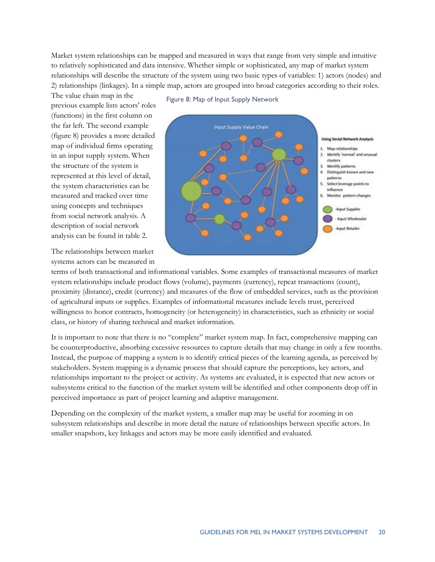Market system relationships can be mapped and measured in ways that range from very simple and intuitive to relatively sophisticated and data intensive. Whether simple or sophisticated, any map of market system relationships will describe the structure of the system using two basic types of variables: 1) actors (nodes) and 2) relationships (linkages). In a simple map, actors are grouped into broad categories according to their roles.

Figure 8: Map of Input Supply Network

The value chain map in the previous example lists actors' roles (functions) in the first column on the far left. The second example (figure 8) provides a more detailed map of individual firms operating in an input supply system. When the structure of the system is represented at this level of detail, the system characteristics can be measured and tracked over time using concepts and techniques from social network analysis. A description of social network analysis can be found in table 2.

The relationships between market systems actors can be measured in

![](_page_24_Figure_3.jpeg)

![](_page_24_Figure_4.jpeg)

![](_page_24_Figure_5.jpeg)

![](_page_24_Figure_6.jpeg)

terms of both transactional and informational variables. Some examples of transactional measures of market system relationships include product flows (volume), payments (currency), repeat transactions (count), proximity (distance), credit (currency) and measures of the flow of embedded services, such as the provision of agricultural inputs or supplies. Examples of informational measures include levels trust, perceived willingness to honor contracts, homogeneity (or heterogeneity) in characteristics, such as ethnicity or social class, or history of sharing technical and market information.

It is important to note that there is no "complete" market system map. In fact, comprehensive mapping can be counterproductive, absorbing excessive resources to capture details that may change in only a few months. Instead, the purpose of mapping a system is to identify critical pieces of the learning agenda, as perceived by stakeholders. System mapping is a dynamic process that should capture the perceptions, key actors, and relationships important to the project or activity. As systems are evaluated, it is expected that new actors or subsystems critical to the function of the market system will be identified and other components drop off in perceived importance as part of project learning and adaptive management.

Depending on the complexity of the market system, a smaller map may be useful for zooming in on subsystem relationships and describe in more detail the nature of relationships between specific actors. In smaller snapshots, key linkages and actors may be more easily identified and evaluated.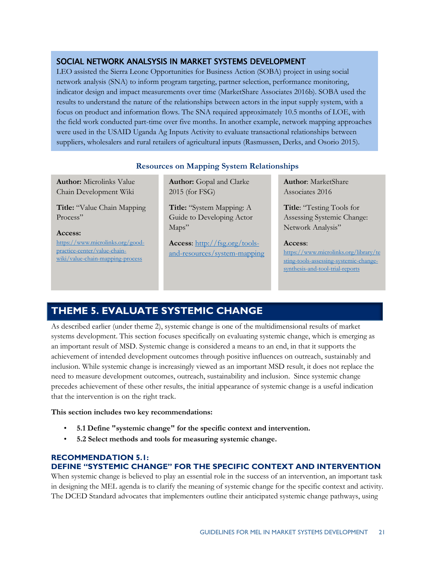## SOCIAL NETWORK ANALSYSIS IN MARKET SYSTEMS DEVELOPMENT

LEO assisted the Sierra Leone Opportunities for Business Action (SOBA) project in using social network analysis (SNA) to inform program targeting, partner selection, performance monitoring, indicator design and impact measurements over time (MarketShare Associates 2016b). SOBA used the results to understand the nature of the relationships between actors in the input supply system, with a focus on product and information flows. The SNA required approximately 10.5 months of LOE, with the field work conducted part-time over five months. In another example, network mapping approaches were used in the USAID Uganda Ag Inputs Activity to evaluate transactional relationships between suppliers, wholesalers and rural retailers of agricultural inputs (Rasmussen, Derks, and Osorio 2015).

### **Resources on Mapping System Relationships**

**Author:** Microlinks Value Chain Development Wiki

**Title:** "Value Chain Mapping Process"

## **Access:**

[https://www.microlinks.org/good](https://www.microlinks.org/good-practice-center/value-chain-wiki/value-chain-mapping-process)[practice-center/value-chain](https://www.microlinks.org/good-practice-center/value-chain-wiki/value-chain-mapping-process)[wiki/value-chain-mapping-process](https://www.microlinks.org/good-practice-center/value-chain-wiki/value-chain-mapping-process)

**Author:** Gopal and Clarke 2015 (for FSG)

**Title:** "System Mapping: A Guide to Developing Actor Maps"

**Access**: [http://fsg.org/tools](http://fsg.org/tools-and-resources/system-mapping)[and-resources/system-mapping](http://fsg.org/tools-and-resources/system-mapping)  **Author**: MarketShare Associates 2016

**Title**: "Testing Tools for Assessing Systemic Change: Network Analysis"

#### **Access**:

[https://www.microlinks.org/library/te](https://www.microlinks.org/library/testing-tools-assessing-systemic-change-synthesis-and-tool-trial-reports) [sting-tools-assessing-systemic-change](https://www.microlinks.org/library/testing-tools-assessing-systemic-change-synthesis-and-tool-trial-reports)[synthesis-and-tool-trial-reports](https://www.microlinks.org/library/testing-tools-assessing-systemic-change-synthesis-and-tool-trial-reports)

# <span id="page-25-0"></span>**THEME 5. EVALUATE SYSTEMIC CHANGE**

As described earlier (under theme 2), systemic change is one of the multidimensional results of market systems development. This section focuses specifically on evaluating systemic change, which is emerging as an important result of MSD. Systemic change is considered a means to an end, in that it supports the achievement of intended development outcomes through positive influences on outreach, sustainably and inclusion. While systemic change is increasingly viewed as an important MSD result, it does not replace the need to measure development outcomes, outreach, sustainability and inclusion. Since systemic change precedes achievement of these other results, the initial appearance of systemic change is a useful indication that the intervention is on the right track.

#### **This section includes two key recommendations:**

- **5.1 Define "systemic change" for the specific context and intervention.**
- **5.2 Select methods and tools for measuring systemic change.**

#### **RECOMMENDATION 5.1:**

#### **DEFINE "SYSTEMIC CHANGE" FOR THE SPECIFIC CONTEXT AND INTERVENTION**

When systemic change is believed to play an essential role in the success of an intervention, an important task in designing the MEL agenda is to clarify the meaning of systemic change for the specific context and activity. The DCED Standard advocates that implementers outline their anticipated systemic change pathways, using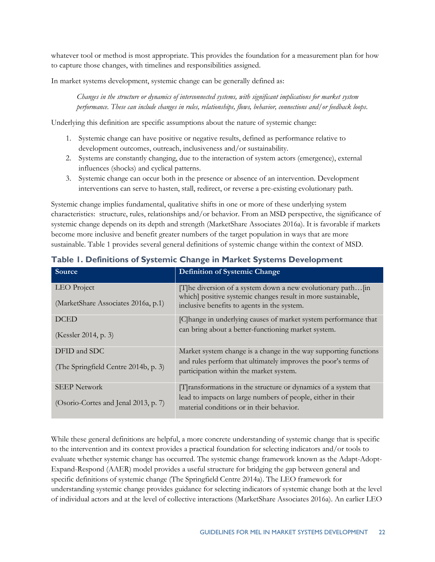whatever tool or method is most appropriate. This provides the foundation for a measurement plan for how to capture those changes, with timelines and responsibilities assigned.

In market systems development, systemic change can be generally defined as:

*Changes in the structure or dynamics of interconnected systems, with significant implications for market system performance. These can include changes in rules, relationships, flows, behavior, connections and/or feedback loops*.

Underlying this definition are specific assumptions about the nature of systemic change:

- 1. Systemic change can have positive or negative results, defined as performance relative to development outcomes, outreach, inclusiveness and/or sustainability.
- 2. Systems are constantly changing, due to the interaction of system actors (emergence), external influences (shocks) and cyclical patterns.
- 3. Systemic change can occur both in the presence or absence of an intervention. Development interventions can serve to hasten, stall, redirect, or reverse a pre-existing evolutionary path.

Systemic change implies fundamental, qualitative shifts in one or more of these underlying system characteristics: structure, rules, relationships and/or behavior. From an MSD perspective, the significance of systemic change depends on its depth and strength (MarketShare Associates 2016a). It is favorable if markets become more inclusive and benefit greater numbers of the target population in ways that are more sustainable. Table 1 provides several general definitions of systemic change within the context of MSD.

| Source                                             | <b>Definition of Systemic Change</b>                                                                                                                                               |
|----------------------------------------------------|------------------------------------------------------------------------------------------------------------------------------------------------------------------------------------|
| LEO Project<br>(MarketShare Associates 2016a, p.1) | [T] he diversion of a system down a new evolutionary path $\int$ in<br>which] positive systemic changes result in more sustainable,<br>inclusive benefits to agents in the system. |
| <b>DCED</b>                                        | [C] hange in underlying causes of market system performance that                                                                                                                   |
| (Kessler 2014, p. 3)                               | can bring about a better-functioning market system.                                                                                                                                |
| DFID and SDC                                       | Market system change is a change in the way supporting functions                                                                                                                   |
| (The Springfield Centre 2014b, p. 3)               | and rules perform that ultimately improves the poor's terms of<br>participation within the market system.                                                                          |
| <b>SEEP Network</b>                                | [T] ransformations in the structure or dynamics of a system that                                                                                                                   |
| (Osorio-Cortes and Jenal 2013, p. 7)               | lead to impacts on large numbers of people, either in their<br>material conditions or in their behavior.                                                                           |

### <span id="page-26-0"></span>**Table 1. Definitions of Systemic Change in Market Systems Development**

While these general definitions are helpful, a more concrete understanding of systemic change that is specific to the intervention and its context provides a practical foundation for selecting indicators and/or tools to evaluate whether systemic change has occurred. The systemic change framework known as the Adapt-Adopt-Expand-Respond (AAER) model provides a useful structure for bridging the gap between general and specific definitions of systemic change (The Springfield Centre 2014a). The LEO framework for understanding systemic change provides guidance for selecting indicators of systemic change both at the level of individual actors and at the level of collective interactions (MarketShare Associates 2016a). An earlier LEO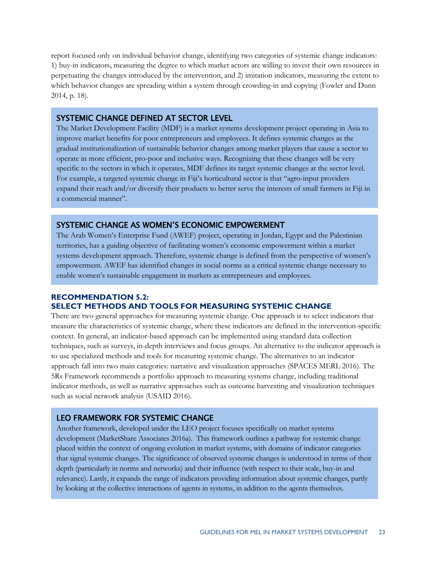report focused only on individual behavior change, identifying two categories of systemic change indicators: 1) buy-in indicators, measuring the degree to which market actors are willing to invest their own resources in perpetuating the changes introduced by the intervention, and 2) imitation indicators, measuring the extent to which behavior changes are spreading within a system through crowding-in and copying (Fowler and Dunn 2014, p. 18).

#### SYSTEMIC CHANGE DEFINED AT SECTOR LEVEL

The Market Development Facility (MDF) is a market systems development project operating in Asia to improve market benefits for poor entrepreneurs and employees. It defines systemic changes as the gradual institutionalization of sustainable behavior changes among market players that cause a sector to operate in more efficient, pro-poor and inclusive ways. Recognizing that these changes will be very specific to the sectors in which it operates, MDF defines its target systemic changes at the sector level. For example, a targeted systemic change in Fiji's horticultural sector is that "agro-input providers expand their reach and/or diversify their products to better serve the interests of small farmers in Fiji in a commercial manner".

#### SYSTEMIC CHANGE AS WOMEN'S ECONOMIC EMPOWERMENT

The Arab Women's Enterprise Fund (AWEF) project, operating in Jordan, Egypt and the Palestinian territories, has a guiding objective of facilitating women's economic empowerment within a market systems development approach. Therefore, systemic change is defined from the perspective of women's empowerment. AWEF has identified changes in social norms as a critical systemic change necessary to enable women's sustainable engagement in markets as entrepreneurs and employees.

## **RECOMMENDATION 5.2: EXAMPLE IN FIGURE IN FIGURE IN FIGURE IN FIGURE IN FIGURE IN FIGURE IN FIGURE IN FIGURE IS THAT "AGRO" SELECT METHODS AND TOOLS FOR MEASURING SYSTEMIC CHANGE**

There are two general approaches for measuring systemic change. One approach is to select indicators that measure the characteristics of systemic change, where these indicators are defined in the intervention-specific measure the enaracteristics or systemic enarge, where these indicators are defined in the intervention-<br>context. In general, an indicator-based approach can be implemented using standard data collection techniques, such as surveys, in-depth interviews and focus groups. An alternative to the indicator approach is techniques, such as surveys, in-depth interviews and focus groups. An alternative to the indicator approach is to use specialized methods and tools for measuring systemic change. The alternatives to an indicator to use specialized incurous and tools for measuring systemic change. The alternatives to an indicator approach fall into two main categories: narrative and visualization approaches (SPACES MERL 2016). The 5Rs Framework recommends a portfolio approach to measuring systems change, including traditional indicator methods, as well as narrative approaches such as outcome harvesting and visualization techniques such as social network analysis (USAID 2016). There are two general approaches for incasumig systemic enange. One approach is to select indicators to

#### LEO FRAMEWORK FOR SYSTEMIC CHANGE

Another framework, developed under the LEO project focuses specifically on market systems development (MarketShare Associates 2016a). This framework outlines a pathway for systemic change placed within the context of ongoing evolution in market systems, with domains of indicator categories that signal systemic changes. The significance of observed systemic changes is understood in terms of their depth (particularly in norms and networks) and their influence (with respect to their scale, buy-in and relevance). Lastly, it expands the range of indicators providing information about systemic changes, partly by looking at the collective interactions of agents in systems, in addition to the agents themselves.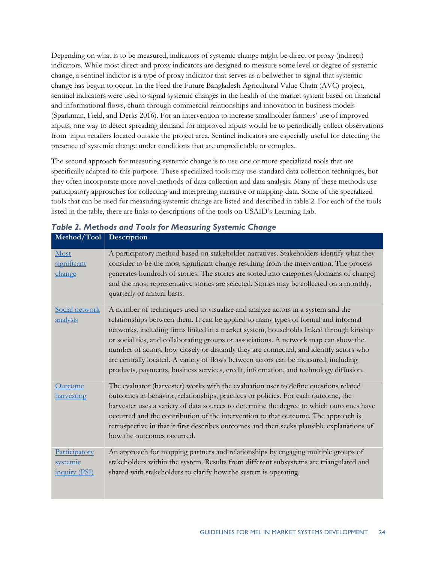Depending on what is to be measured, indicators of systemic change might be direct or proxy (indirect) indicators. While most direct and proxy indicators are designed to measure some level or degree of systemic change, a sentinel indictor is a type of proxy indicator that serves as a bellwether to signal that systemic change has begun to occur. In the Feed the Future Bangladesh Agricultural Value Chain (AVC) project, sentinel indicators were used to signal systemic changes in the health of the market system based on financial and informational flows, churn through commercial relationships and innovation in business models (Sparkman, Field, and Derks 2016). For an intervention to increase smallholder farmers' use of improved inputs, one way to detect spreading demand for improved inputs would be to periodically collect observations from input retailers located outside the project area. Sentinel indicators are especially useful for detecting the presence of systemic change under conditions that are unpredictable or complex.

The second approach for measuring systemic change is to use one or more specialized tools that are specifically adapted to this purpose. These specialized tools may use standard data collection techniques, but they often incorporate more novel methods of data collection and data analysis. Many of these methods use participatory approaches for collecting and interpreting narrative or mapping data. Some of the specialized tools that can be used for measuring systemic change are listed and described in table 2. For each of the tools listed in the table, there are links to descriptions of the tools on USAID's Learning Lab.

| Method/Tool                                | Description                                                                                                                                                                                                                                                                                                                                                                                                                                                                                                                                                                                                                       |
|--------------------------------------------|-----------------------------------------------------------------------------------------------------------------------------------------------------------------------------------------------------------------------------------------------------------------------------------------------------------------------------------------------------------------------------------------------------------------------------------------------------------------------------------------------------------------------------------------------------------------------------------------------------------------------------------|
| Most<br>significant<br><u>change</u>       | A participatory method based on stakeholder narratives. Stakeholders identify what they<br>consider to be the most significant change resulting from the intervention. The process<br>generates hundreds of stories. The stories are sorted into categories (domains of change)<br>and the most representative stories are selected. Stories may be collected on a monthly,<br>quarterly or annual basis.                                                                                                                                                                                                                         |
| Social network<br>analysis                 | A number of techniques used to visualize and analyze actors in a system and the<br>relationships between them. It can be applied to many types of formal and informal<br>networks, including firms linked in a market system, households linked through kinship<br>or social ties, and collaborating groups or associations. A network map can show the<br>number of actors, how closely or distantly they are connected, and identify actors who<br>are centrally located. A variety of flows between actors can be measured, including<br>products, payments, business services, credit, information, and technology diffusion. |
| Outcome<br>harvesting                      | The evaluator (harvester) works with the evaluation user to define questions related<br>outcomes in behavior, relationships, practices or policies. For each outcome, the<br>harvester uses a variety of data sources to determine the degree to which outcomes have<br>occurred and the contribution of the intervention to that outcome. The approach is<br>retrospective in that it first describes outcomes and then seeks plausible explanations of<br>how the outcomes occurred.                                                                                                                                            |
| Participatory<br>systemic<br>inquiry (PSI) | An approach for mapping partners and relationships by engaging multiple groups of<br>stakeholders within the system. Results from different subsystems are triangulated and<br>shared with stakeholders to clarify how the system is operating.                                                                                                                                                                                                                                                                                                                                                                                   |

<span id="page-28-0"></span>*Table 2. Methods and Tools for Measuring Systemic Change*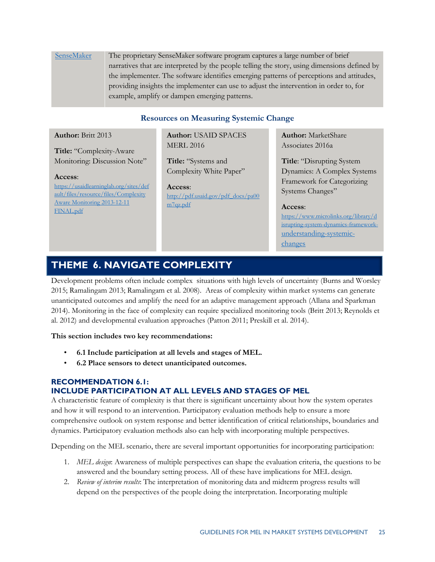## [SenseMaker](https://usaidlearninglab.org/events/using-systemic-me-tools-feed-future-uganda-sensemaker-%C2%AE) The proprietary SenseMaker software program captures a large number of brief narratives that are interpreted by the people telling the story, using dimensions defined by the implementer. The software identifies emerging patterns of perceptions and attitudes, providing insights the implementer can use to adjust the intervention in order to, for example, amplify or dampen emerging patterns.

### **Resources on Measuring Systemic Change**

#### **Author:** Britt 2013

**Title:** "Complexity-Aware Monitoring: Discussion Note"

#### **Access**:

[https://usaidlearninglab.org/sites/def](https://usaidlearninglab.org/sites/default/files/resource/files/Complexity%20Aware%20Monitoring%202013-12-11%20FINAL.pdf) [ault/files/resource/files/Complexity](https://usaidlearninglab.org/sites/default/files/resource/files/Complexity%20Aware%20Monitoring%202013-12-11%20FINAL.pdf)  [Aware Monitoring 2013-12-11](https://usaidlearninglab.org/sites/default/files/resource/files/Complexity%20Aware%20Monitoring%202013-12-11%20FINAL.pdf)  [FINAL.pdf](https://usaidlearninglab.org/sites/default/files/resource/files/Complexity%20Aware%20Monitoring%202013-12-11%20FINAL.pdf)

**Author:** USAID SPACES MERL 2016

**Title:** "Systems and Complexity White Paper"

**Access**: [http://pdf.usaid.gov/pdf\\_docs/pa00](http://pdf.usaid.gov/pdf_docs/pa00m7qz.pdf) [m7qz.pdf](http://pdf.usaid.gov/pdf_docs/pa00m7qz.pdf)

**Author:** MarketShare Associates 2016a

**Title**: "Disrupting System Dynamics: A Complex Systems Framework for Categorizing Systems Changes"

#### **Access**:

[https://www.microlinks.org/library/d](https://www.microlinks.org/library/disrupting-system-dynamics-framework-understanding-systemic-changes) [isrupting-system-dynamics-framework](https://www.microlinks.org/library/disrupting-system-dynamics-framework-understanding-systemic-changes)[understanding-systemic](https://www.microlinks.org/library/disrupting-system-dynamics-framework-understanding-systemic-changes)[changes](https://www.microlinks.org/library/disrupting-system-dynamics-framework-understanding-systemic-changes) 

# <span id="page-29-0"></span>**THEME\_6. NAVIGATE COMPLEXITY**

Development problems often include complex situations with high levels of uncertainty (Burns and Worsley 2015; Ramalingam 2013; Ramalingam et al. 2008). Areas of complexity within market systems can generate unanticipated outcomes and amplify the need for an adaptive management approach (Allana and Sparkman 2014). Monitoring in the face of complexity can require specialized monitoring tools (Britt 2013; Reynolds et al. 2012) and developmental evaluation approaches (Patton 2011; Preskill et al. 2014).

#### **This section includes two key recommendations:**

- **6.1 Include participation at all levels and stages of MEL.**
- **6.2 Place sensors to detect unanticipated outcomes.**

## **RECOMMENDATION 6.1: INCLUDE PARTICIPATION AT ALL LEVELS AND STAGES OF MEL**

A characteristic feature of complexity is that there is significant uncertainty about how the system operates and how it will respond to an intervention. Participatory evaluation methods help to ensure a more comprehensive outlook on system response and better identification of critical relationships, boundaries and dynamics. Participatory evaluation methods also can help with incorporating multiple perspectives.

Depending on the MEL scenario, there are several important opportunities for incorporating participation:

- 1. *MEL design*: Awareness of multiple perspectives can shape the evaluation criteria, the questions to be answered and the boundary setting process. All of these have implications for MEL design.
- 2. *Review of interim results*: The interpretation of monitoring data and midterm progress results will depend on the perspectives of the people doing the interpretation. Incorporating multiple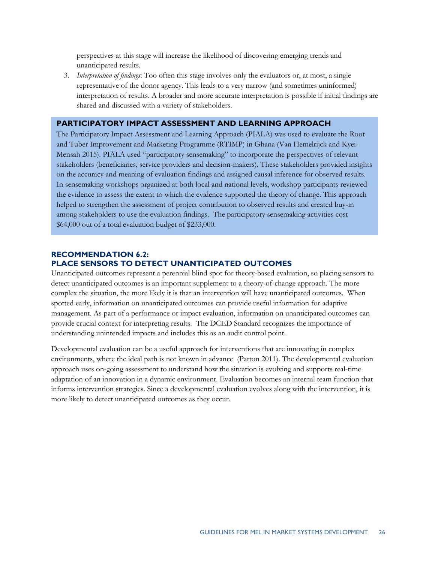perspectives at this stage will increase the likelihood of discovering emerging trends and unanticipated results.

3. *Interpretation of findings*: Too often this stage involves only the evaluators or, at most, a single representative of the donor agency. This leads to a very narrow (and sometimes uninformed) interpretation of results. A broader and more accurate interpretation is possible if initial findings are shared and discussed with a variety of stakeholders.

#### **PARTICIPATORY IMPACT ASSESSMENT AND LEARNING APPROACH**

The Participatory Impact Assessment and Learning Approach (PIALA) was used to evaluate the Root and Tuber Improvement and Marketing Programme (RTIMP) in Ghana (Van Hemelrijck and Kyei-Mensah 2015). PIALA used "participatory sensemaking" to incorporate the perspectives of relevant stakeholders (beneficiaries, service providers and decision-makers). These stakeholders provided insights on the accuracy and meaning of evaluation findings and assigned causal inference for observed results. In sensemaking workshops organized at both local and national levels, workshop participants reviewed the evidence to assess the extent to which the evidence supported the theory of change. This approach helped to strengthen the assessment of project contribution to observed results and created buy-in among stakeholders to use the evaluation findings. The participatory sensemaking activities cost \$64,000 out of a total evaluation budget of \$233,000.

#### **RECOMMENDATION 6.2: PLACE SENSORS TO DETECT UNANTICIPATED OUTCOMES**

Unanticipated outcomes represent a perennial blind spot for theory-based evaluation, so placing sensors to detect unanticipated outcomes is an important supplement to a theory-of-change approach. The more complex the situation, the more likely it is that an intervention will have unanticipated outcomes. When spotted early, information on unanticipated outcomes can provide useful information for adaptive management. As part of a performance or impact evaluation, information on unanticipated outcomes can provide crucial context for interpreting results. The DCED Standard recognizes the importance of understanding unintended impacts and includes this as an audit control point.

Developmental evaluation can be a useful approach for interventions that are innovating in complex environments, where the ideal path is not known in advance (Patton 2011). The developmental evaluation approach uses on-going assessment to understand how the situation is evolving and supports real-time adaptation of an innovation in a dynamic environment. Evaluation becomes an internal team function that informs intervention strategies. Since a developmental evaluation evolves along with the intervention, it is more likely to detect unanticipated outcomes as they occur.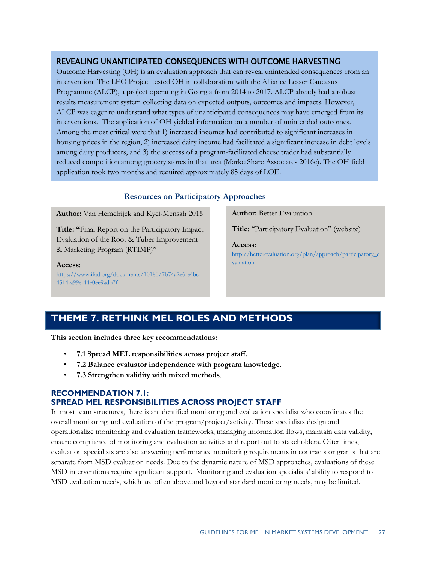### REVEALING UNANTICIPATED CONSEQUENCES WITH OUTCOME HARVESTING

Outcome Harvesting (OH) is an evaluation approach that can reveal unintended consequences from an intervention. The LEO Project tested OH in collaboration with the Alliance Lesser Caucasus Programme (ALCP), a project operating in Georgia from 2014 to 2017. ALCP already had a robust results measurement system collecting data on expected outputs, outcomes and impacts. However, ALCP was eager to understand what types of unanticipated consequences may have emerged from its interventions. The application of OH yielded information on a number of unintended outcomes. Among the most critical were that 1) increased incomes had contributed to significant increases in housing prices in the region, 2) increased dairy income had facilitated a significant increase in debt levels among dairy producers, and 3) the success of a program-facilitated cheese trader had substantially reduced competition among grocery stores in that area (MarketShare Associates 2016c). The OH field application took two months and required approximately 85 days of LOE.

#### **Resources on Participatory Approaches**

**Author:** Van Hemelrijck and Kyei-Mensah 2015

**Title: "**Final Report on the Participatory Impact Evaluation of the Root & Tuber Improvement & Marketing Program (RTIMP)"

#### **Access**:

[https://www.ifad.org/documents/10180/7b74a2e6-e4bc-](https://www.ifad.org/documents/10180/7b74a2e6-e4bc-4514-a99e-44e0ee9adb7f)[4514-a99e-44e0ee9adb7f](https://www.ifad.org/documents/10180/7b74a2e6-e4bc-4514-a99e-44e0ee9adb7f) 

**Author:** Better Evaluation

**Title**: "Participatory Evaluation" (website)

**Access**:

[http://betterevaluation.org/plan/approach/participatory\\_e](http://betterevaluation.org/plan/approach/participatory_evaluation) [valuation](http://betterevaluation.org/plan/approach/participatory_evaluation)

# <span id="page-31-0"></span>**THEME 7. RETHINK MEL ROLES AND METHODS**

**This section includes three key recommendations:** 

- **7.1 Spread MEL responsibilities across project staff.**
- **7.2 Balance evaluator independence with program knowledge.**
- **7.3 Strengthen validity with mixed methods**.

#### **RECOMMENDATION 7.1: SPREAD MEL RESPONSIBILITIES ACROSS PROJECT STAFF**

In most team structures, there is an identified monitoring and evaluation specialist who coordinates the overall monitoring and evaluation of the program/project/activity. These specialists design and operationalize monitoring and evaluation frameworks, managing information flows, maintain data validity, ensure compliance of monitoring and evaluation activities and report out to stakeholders. Oftentimes, evaluation specialists are also answering performance monitoring requirements in contracts or grants that are separate from MSD evaluation needs. Due to the dynamic nature of MSD approaches, evaluations of these MSD interventions require significant support. Monitoring and evaluation specialists' ability to respond to MSD evaluation needs, which are often above and beyond standard monitoring needs, may be limited.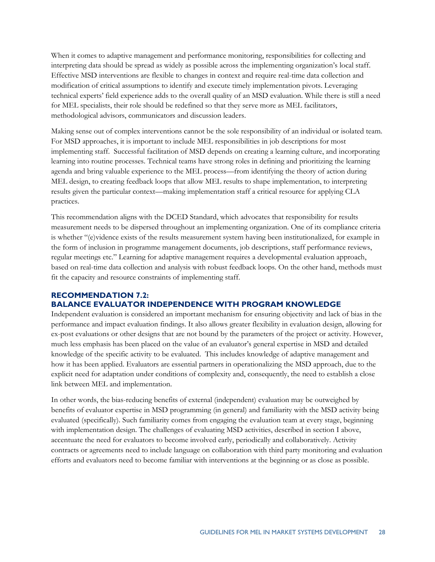When it comes to adaptive management and performance monitoring, responsibilities for collecting and interpreting data should be spread as widely as possible across the implementing organization's local staff. Effective MSD interventions are flexible to changes in context and require real-time data collection and modification of critical assumptions to identify and execute timely implementation pivots. Leveraging technical experts' field experience adds to the overall quality of an MSD evaluation. While there is still a need for MEL specialists, their role should be redefined so that they serve more as MEL facilitators, methodological advisors, communicators and discussion leaders.

Making sense out of complex interventions cannot be the sole responsibility of an individual or isolated team. For MSD approaches, it is important to include MEL responsibilities in job descriptions for most implementing staff. Successful facilitation of MSD depends on creating a learning culture, and incorporating learning into routine processes. Technical teams have strong roles in defining and prioritizing the learning agenda and bring valuable experience to the MEL process—from identifying the theory of action during MEL design, to creating feedback loops that allow MEL results to shape implementation, to interpreting results given the particular context—making implementation staff a critical resource for applying CLA practices.

This recommendation aligns with the DCED Standard, which advocates that responsibility for results measurement needs to be dispersed throughout an implementing organization. One of its compliance criteria is whether "(e)vidence exists of the results measurement system having been institutionalized, for example in the form of inclusion in programme management documents, job descriptions, staff performance reviews, regular meetings etc." Learning for adaptive management requires a developmental evaluation approach, based on real-time data collection and analysis with robust feedback loops. On the other hand, methods must fit the capacity and resource constraints of implementing staff.

#### **RECOMMENDATION 7.2:**

#### **BALANCE EVALUATOR INDEPENDENCE WITH PROGRAM KNOWLEDGE**

Independent evaluation is considered an important mechanism for ensuring objectivity and lack of bias in the performance and impact evaluation findings. It also allows greater flexibility in evaluation design, allowing for ex-post evaluations or other designs that are not bound by the parameters of the project or activity. However, much less emphasis has been placed on the value of an evaluator's general expertise in MSD and detailed knowledge of the specific activity to be evaluated. This includes knowledge of adaptive management and how it has been applied. Evaluators are essential partners in operationalizing the MSD approach, due to the explicit need for adaptation under conditions of complexity and, consequently, the need to establish a close link between MEL and implementation.

In other words, the bias-reducing benefits of external (independent) evaluation may be outweighed by benefits of evaluator expertise in MSD programming (in general) and familiarity with the MSD activity being evaluated (specifically). Such familiarity comes from engaging the evaluation team at every stage, beginning with implementation design. The challenges of evaluating MSD activities, described in section I above, accentuate the need for evaluators to become involved early, periodically and collaboratively. Activity contracts or agreements need to include language on collaboration with third party monitoring and evaluation efforts and evaluators need to become familiar with interventions at the beginning or as close as possible.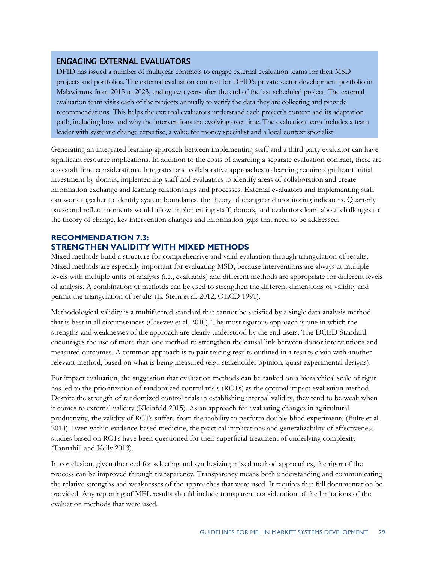### ENGAGING EXTERNAL EVALUATORS

DFID has issued a number of multiyear contracts to engage external evaluation teams for their MSD projects and portfolios. The external evaluation contract for DFID's private sector development portfolio in Malawi runs from 2015 to 2023, ending two years after the end of the last scheduled project. The external evaluation team visits each of the projects annually to verify the data they are collecting and provide recommendations. This helps the external evaluators understand each project's context and its adaptation path, including how and why the interventions are evolving over time. The evaluation team includes a team leader with systemic change expertise, a value for money specialist and a local context specialist.

Generating an integrated learning approach between implementing staff and a third party evaluator can have significant resource implications. In addition to the costs of awarding a separate evaluation contract, there are also staff time considerations. Integrated and collaborative approaches to learning require significant initial investment by donors, implementing staff and evaluators to identify areas of collaboration and create information exchange and learning relationships and processes. External evaluators and implementing staff can work together to identify system boundaries, the theory of change and monitoring indicators. Quarterly pause and reflect moments would allow implementing staff, donors, and evaluators learn about challenges to the theory of change, key intervention changes and information gaps that need to be addressed.

#### **RECOMMENDATION 7.3: STRENGTHEN VALIDITY WITH MIXED METHODS**

Mixed methods build a structure for comprehensive and valid evaluation through triangulation of results. Mixed methods are especially important for evaluating MSD, because interventions are always at multiple levels with multiple units of analysis (i.e., evaluands) and different methods are appropriate for different levels of analysis. A combination of methods can be used to strengthen the different dimensions of validity and permit the triangulation of results (E. Stern et al. 2012; OECD 1991).

Methodological validity is a multifaceted standard that cannot be satisfied by a single data analysis method that is best in all circumstances (Creevey et al. 2010). The most rigorous approach is one in which the strengths and weaknesses of the approach are clearly understood by the end users. The DCED Standard encourages the use of more than one method to strengthen the causal link between donor interventions and measured outcomes. A common approach is to pair tracing results outlined in a results chain with another relevant method, based on what is being measured (e.g., stakeholder opinion, quasi-experimental designs).

For impact evaluation, the suggestion that evaluation methods can be ranked on a hierarchical scale of rigor has led to the prioritization of randomized control trials (RCTs) as the optimal impact evaluation method. Despite the strength of randomized control trials in establishing internal validity, they tend to be weak when it comes to external validity (Kleinfeld 2015). As an approach for evaluating changes in agricultural productivity, the validity of RCTs suffers from the inability to perform double-blind experiments (Bulte et al. 2014). Even within evidence-based medicine, the practical implications and generalizability of effectiveness studies based on RCTs have been questioned for their superficial treatment of underlying complexity (Tannahill and Kelly 2013).

In conclusion, given the need for selecting and synthesizing mixed method approaches, the rigor of the process can be improved through transparency. Transparency means both understanding and communicating the relative strengths and weaknesses of the approaches that were used. It requires that full documentation be provided. Any reporting of MEL results should include transparent consideration of the limitations of the evaluation methods that were used.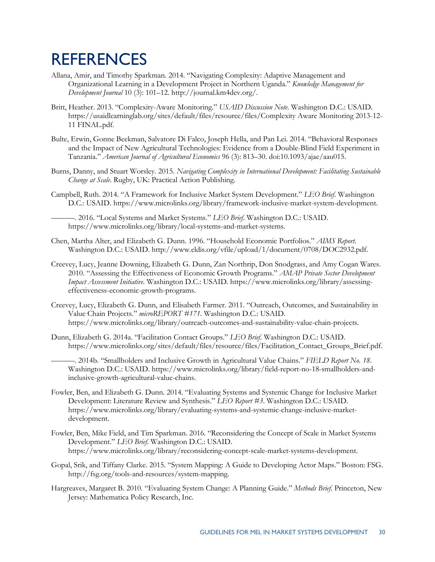# <span id="page-34-0"></span>**REFERENCES**

- Allana, Amir, and Timothy Sparkman. 2014. "Navigating Complexity: Adaptive Management and Organizational Learning in a Development Project in Northern Uganda." *Knowledge Management for Development Journal* 10 (3): 101–12. http://journal.km4dev.org/.
- Britt, Heather. 2013. "Complexity-Aware Monitoring." *USAID Discussion Note*. Washington D.C.: USAID. https://usaidlearninglab.org/sites/default/files/resource/files/Complexity Aware Monitoring 2013-12- 11 FINAL.pdf.
- Bulte, Erwin, Gonne Beekman, Salvatore Di Falco, Joseph Hella, and Pan Lei. 2014. "Behavioral Responses and the Impact of New Agricultural Technologies: Evidence from a Double-Blind Field Experiment in Tanzania." *American Journal of Agricultural Economics* 96 (3): 813–30. doi:10.1093/ajae/aau015.
- Burns, Danny, and Stuart Worsley. 2015. *Navigating Complexity in International Development: Facilitating Sustainable Change at Scale*. Rugby, UK: Practical Action Publishing.
- Campbell, Ruth. 2014. "A Framework for Inclusive Market System Development." *LEO Brief*. Washington D.C.: USAID. https://www.microlinks.org/library/framework-inclusive-market-system-development.

———. 2016. "Local Systems and Market Systems." *LEO Brief*. Washington D.C.: USAID. https://www.microlinks.org/library/local-systems-and-market-systems.

- Chen, Martha Alter, and Elizabeth G. Dunn. 1996. "Household Economic Portfolios." *AIMS Report*. Washington D.C.: USAID. http://www.eldis.org/vfile/upload/1/document/0708/DOC2932.pdf.
- Creevey, Lucy, Jeanne Downing, Elizabeth G. Dunn, Zan Northrip, Don Snodgrass, and Amy Cogan Wares. 2010. "Assessing the Effectiveness of Economic Growth Programs." *AMAP Private Sector Development Impact Assessment Initiative*. Washington D.C.: USAID. https://www.microlinks.org/library/assessingeffectiveness-economic-growth-programs.
- Creevey, Lucy, Elizabeth G. Dunn, and Elisabeth Farmer. 2011. "Outreach, Outcomes, and Sustainability in Value Chain Projects." *microREPORT #171*. Washington D.C.: USAID. https://www.microlinks.org/library/outreach-outcomes-and-sustainability-value-chain-projects.
- Dunn, Elizabeth G. 2014a. "Facilitation Contact Groups." *LEO Brief*. Washington D.C.: USAID. https://www.microlinks.org/sites/default/files/resource/files/Facilitation\_Contact\_Groups\_Brief.pdf.

———. 2014b. "Smallholders and Inclusive Growth in Agricultural Value Chains." *FIELD Report No. 18*. Washington D.C.: USAID. https://www.microlinks.org/library/field-report-no-18-smallholders-andinclusive-growth-agricultural-value-chains.

- Fowler, Ben, and Elizabeth G. Dunn. 2014. "Evaluating Systems and Systemic Change for Inclusive Market Development: Literature Review and Synthesis." *LEO Report #3*. Washington D.C.: USAID. https://www.microlinks.org/library/evaluating-systems-and-systemic-change-inclusive-marketdevelopment.
- Fowler, Ben, Mike Field, and Tim Sparkman. 2016. "Reconsidering the Concept of Scale in Market Systems Development." *LEO Brief*. Washington D.C.: USAID. https://www.microlinks.org/library/reconsidering-concept-scale-market-systems-development.
- Gopal, Srik, and Tiffany Clarke. 2015. "System Mapping: A Guide to Developing Actor Maps." Boston: FSG. http://fsg.org/tools-and-resources/system-mapping.
- Hargreaves, Margaret B. 2010. "Evaluating System Change: A Planning Guide." *Methods Brief*. Princeton, New Jersey: Mathematica Policy Research, Inc.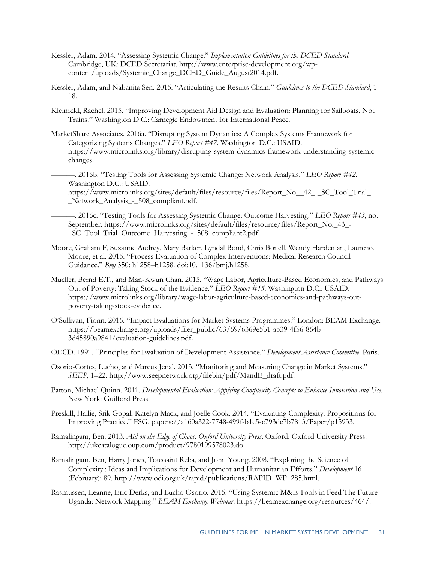- Kessler, Adam. 2014. "Assessing Systemic Change." *Implementation Guidelines for the DCED Standard*. Cambridge, UK: DCED Secretariat. http://www.enterprise-development.org/wpcontent/uploads/Systemic\_Change\_DCED\_Guide\_August2014.pdf.
- Kessler, Adam, and Nabanita Sen. 2015. "Articulating the Results Chain." *Guidelines to the DCED Standard*, 1– 18.
- Kleinfeld, Rachel. 2015. "Improving Development Aid Design and Evaluation: Planning for Sailboats, Not Trains." Washington D.C.: Carnegie Endowment for International Peace.
- MarketShare Associates. 2016a. "Disrupting System Dynamics: A Complex Systems Framework for Categorizing Systems Changes." *LEO Report #47*. Washington D.C.: USAID. https://www.microlinks.org/library/disrupting-system-dynamics-framework-understanding-systemicchanges.
	- ———. 2016b. "Testing Tools for Assessing Systemic Change: Network Analysis." *LEO Report #42*. Washington D.C.: USAID.

https://www.microlinks.org/sites/default/files/resource/files/Report\_No\_ 42 - SC\_Tool\_Trial\_-\_Network\_Analysis\_-\_508\_compliant.pdf.

- ———. 2016c. "Testing Tools for Assessing Systemic Change: Outcome Harvesting." *LEO Report #43*, no. September. https://www.microlinks.org/sites/default/files/resource/files/Report\_No.\_43\_- \_SC\_Tool\_Trial\_Outcome\_Harvesting\_-\_508\_compliant2.pdf.
- Moore, Graham F, Suzanne Audrey, Mary Barker, Lyndal Bond, Chris Bonell, Wendy Hardeman, Laurence Moore, et al. 2015. "Process Evaluation of Complex Interventions: Medical Research Council Guidance." *Bmj* 350: h1258–h1258. doi:10.1136/bmj.h1258.
- Mueller, Bernd E.T., and Man-Kwun Chan. 2015. "Wage Labor, Agriculture-Based Economies, and Pathways Out of Poverty: Taking Stock of the Evidence." *LEO Report #15*. Washington D.C.: USAID. https://www.microlinks.org/library/wage-labor-agriculture-based-economies-and-pathways-outpoverty-taking-stock-evidence.
- O'Sullivan, Fionn. 2016. "Impact Evaluations for Market Systems Programmes." London: BEAM Exchange. https://beamexchange.org/uploads/filer\_public/63/69/6369e5b1-a539-4f56-864b-3d45890a9841/evaluation-guidelines.pdf.
- OECD. 1991. "Principles for Evaluation of Development Assistance." *Development Assistance Committee*. Paris.
- Osorio-Cortes, Lucho, and Marcus Jenal. 2013. "Monitoring and Measuring Change in Market Systems." *SEEP*, 1–22. http://www.seepnetwork.org/filebin/pdf/MandE\_draft.pdf.
- Patton, Michael Quinn. 2011. *Developmental Evaluation: Applying Complexity Concepts to Enhance Innovation and Use*. New York: Guilford Press.
- Preskill, Hallie, Srik Gopal, Katelyn Mack, and Joelle Cook. 2014. "Evaluating Complexity: Propositions for Improving Practice." FSG. papers://a160a322-7748-499f-b1e5-c793de7b7813/Paper/p15933.
- Ramalingam, Ben. 2013. *Aid on the Edge of Chaos*. *Oxford University Press*. Oxford: Oxford University Press. http://ukcatalogue.oup.com/product/9780199578023.do.
- Ramalingam, Ben, Harry Jones, Toussaint Reba, and John Young. 2008. "Exploring the Science of Complexity : Ideas and Implications for Development and Humanitarian Efforts." *Development* 16 (February): 89. http://www.odi.org.uk/rapid/publications/RAPID\_WP\_285.html.
- Rasmussen, Leanne, Eric Derks, and Lucho Osorio. 2015. "Using Systemic M&E Tools in Feed The Future Uganda: Network Mapping." *BEAM Exchange Webinar*. https://beamexchange.org/resources/464/.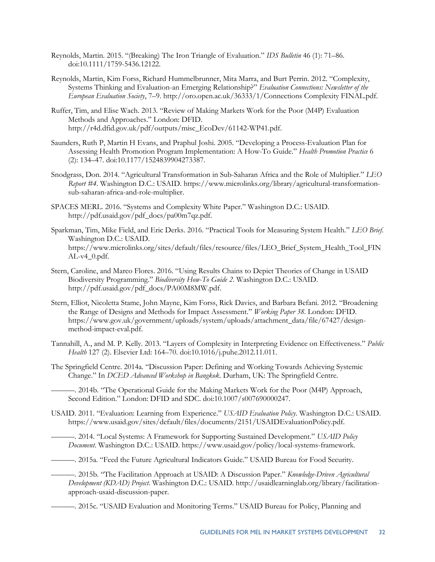- Reynolds, Martin. 2015. "(Breaking) The Iron Triangle of Evaluation." *IDS Bulletin* 46 (1): 71–86. doi:10.1111/1759-5436.12122.
- Reynolds, Martin, Kim Forss, Richard Hummelbrunner, Mita Marra, and Burt Perrin. 2012. "Complexity, Systems Thinking and Evaluation-an Emerging Relationship?" *Evaluation Connections: Newsletter of the European Evaluation Society*, 7–9. http://oro.open.ac.uk/36333/1/Connections Complexity FINAL.pdf.
- Ruffer, Tim, and Elise Wach. 2013. "Review of Making Markets Work for the Poor (M4P) Evaluation Methods and Approaches." London: DFID. http://r4d.dfid.gov.uk/pdf/outputs/misc\_EcoDev/61142-WP41.pdf.
- Saunders, Ruth P, Martin H Evans, and Praphul Joshi. 2005. "Developing a Process-Evaluation Plan for Assessing Health Promotion Program Implementation: A How-To Guide." *Health Promotion Practice* 6 (2): 134–47. doi:10.1177/1524839904273387.
- Snodgrass, Don. 2014. "Agricultural Transformation in Sub-Saharan Africa and the Role of Multiplier." *LEO Report #4*. Washington D.C.: USAID. https://www.microlinks.org/library/agricultural-transformationsub-saharan-africa-and-role-multiplier.
- SPACES MERL. 2016. "Systems and Complexity White Paper." Washington D.C.: USAID. http://pdf.usaid.gov/pdf\_docs/pa00m7qz.pdf.
- Sparkman, Tim, Mike Field, and Eric Derks. 2016. "Practical Tools for Measuring System Health." *LEO Brief*. Washington D.C.: USAID. https://www.microlinks.org/sites/default/files/resource/files/LEO\_Brief\_System\_Health\_Tool\_FIN  $AL-v4_0.pdf$ .
- Stern, Caroline, and Marco Flores. 2016. "Using Results Chains to Depict Theories of Change in USAID Biodiversity Programming." *Biodiversity How-To Guide 2*. Washington D.C.: USAID. http://pdf.usaid.gov/pdf\_docs/PA00M8MW.pdf.
- Stern, Elliot, Nicoletta Stame, John Mayne, Kim Forss, Rick Davies, and Barbara Befani. 2012. "Broadening the Range of Designs and Methods for Impact Assessment." *Working Paper 38*. London: DFID. https://www.gov.uk/government/uploads/system/uploads/attachment\_data/file/67427/designmethod-impact-eval.pdf.
- Tannahill, A., and M. P. Kelly. 2013. "Layers of Complexity in Interpreting Evidence on Effectiveness." *Public Health* 127 (2). Elsevier Ltd: 164–70. doi:10.1016/j.puhe.2012.11.011.
- The Springfield Centre. 2014a. "Discussion Paper: Defining and Working Towards Achieving Systemic Change." In *DCED Advanced Workshop in Bangkok*. Durham, UK: The Springfield Centre.
	- ———. 2014b. "The Operational Guide for the Making Markets Work for the Poor (M4P) Approach, Second Edition." London: DFID and SDC. doi:10.1007/s007690000247.
- USAID. 2011. "Evaluation: Learning from Experience." *USAID Evaluation Policy*. Washington D.C.: USAID. https://www.usaid.gov/sites/default/files/documents/2151/USAIDEvaluationPolicy.pdf.

———. 2014. "Local Systems: A Framework for Supporting Sustained Development." *USAID Policy Document*. Washington D.C.: USAID. https://www.usaid.gov/policy/local-systems-framework.

———. 2015a. "Feed the Future Agricultural Indicators Guide." USAID Bureau for Food Security.

———. 2015b. "The Facilitation Approach at USAID: A Discussion Paper." *Knowledge-Driven Agricultural Development (KDAD) Project*. Washington D.C.: USAID. http://usaidlearninglab.org/library/facilitationapproach-usaid-discussion-paper.

———. 2015c. "USAID Evaluation and Monitoring Terms." USAID Bureau for Policy, Planning and